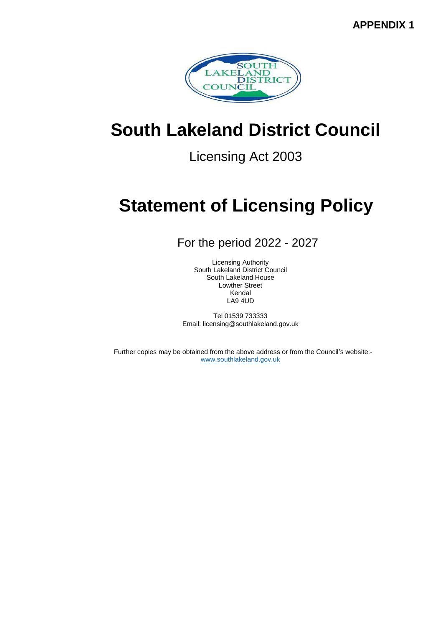**APPENDIX 1**



# **South Lakeland District Council**

Licensing Act 2003

# **Statement of Licensing Policy**

For the period 2022 - 2027

Licensing Authority South Lakeland District Council South Lakeland House Lowther Street Kendal LA9 4UD

Tel 01539 733333 Email: licensing@southlakeland.gov.uk

Further copies may be obtained from the above address or from the Council's website: [www.southlakeland.gov.uk](http://www.southlakeland.gov.uk/)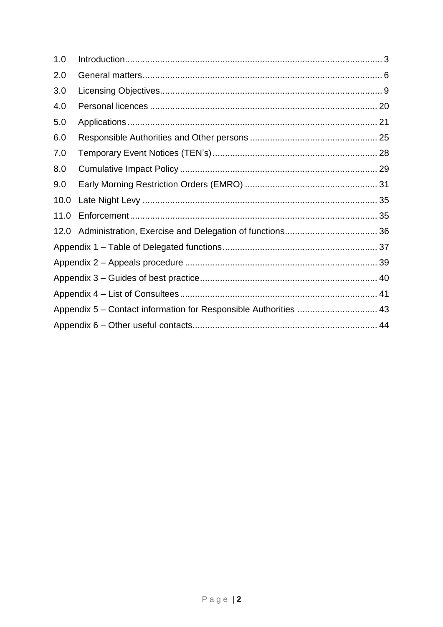| 1.0  |  |  |  |  |
|------|--|--|--|--|
| 2.0  |  |  |  |  |
| 3.0  |  |  |  |  |
| 4.0  |  |  |  |  |
| 5.0  |  |  |  |  |
| 6.0  |  |  |  |  |
| 7.0  |  |  |  |  |
| 8.0  |  |  |  |  |
| 9.0  |  |  |  |  |
| 10.0 |  |  |  |  |
| 11.0 |  |  |  |  |
| 12.0 |  |  |  |  |
|      |  |  |  |  |
|      |  |  |  |  |
|      |  |  |  |  |
|      |  |  |  |  |
|      |  |  |  |  |
|      |  |  |  |  |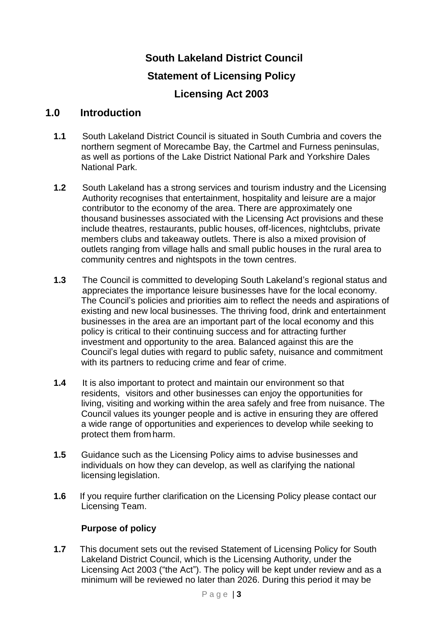# **South Lakeland District Council Statement of Licensing Policy Licensing Act 2003**

# **1.0 Introduction**

- **1.1** South Lakeland District Council is situated in South Cumbria and covers the northern segment of Morecambe Bay, the Cartmel and Furness peninsulas, as well as portions of the Lake District National Park and Yorkshire Dales National Park.
- **1.2** South Lakeland has a strong services and tourism industry and the Licensing Authority recognises that entertainment, hospitality and leisure are a major contributor to the economy of the area. There are approximately one thousand businesses associated with the Licensing Act provisions and these include theatres, restaurants, public houses, off-licences, nightclubs, private members clubs and takeaway outlets. There is also a mixed provision of outlets ranging from village halls and small public houses in the rural area to community centres and nightspots in the town centres.
- **1.3** The Council is committed to developing South Lakeland's regional status and appreciates the importance leisure businesses have for the local economy. The Council's policies and priorities aim to reflect the needs and aspirations of existing and new local businesses. The thriving food, drink and entertainment businesses in the area are an important part of the local economy and this policy is critical to their continuing success and for attracting further investment and opportunity to the area. Balanced against this are the Council's legal duties with regard to public safety, nuisance and commitment with its partners to reducing crime and fear of crime.
- **1.4** It is also important to protect and maintain our environment so that residents, visitors and other businesses can enjoy the opportunities for living, visiting and working within the area safely and free from nuisance. The Council values its younger people and is active in ensuring they are offered a wide range of opportunities and experiences to develop while seeking to protect them from harm.
- **1.5** Guidance such as the Licensing Policy aims to advise businesses and individuals on how they can develop, as well as clarifying the national licensing legislation.
- **1.6** If you require further clarification on the Licensing Policy please contact our Licensing Team.

# **Purpose of policy**

**1.7** This document sets out the revised Statement of Licensing Policy for South Lakeland District Council, which is the Licensing Authority, under the Licensing Act 2003 ("the Act"). The policy will be kept under review and as a minimum will be reviewed no later than 2026. During this period it may be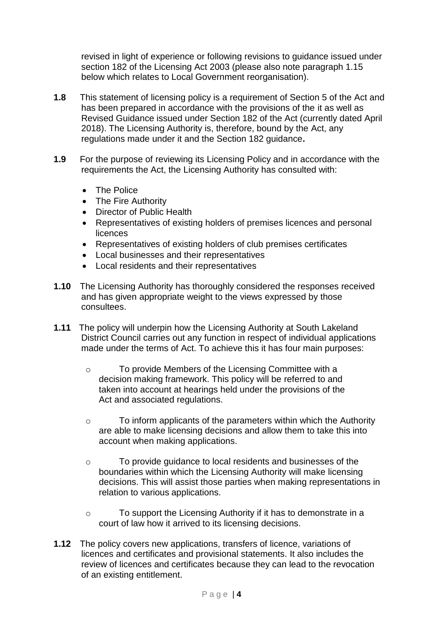revised in light of experience or following revisions to guidance issued under section 182 of the Licensing Act 2003 (please also note paragraph 1.15 below which relates to Local Government reorganisation).

- **1.8** This statement of licensing policy is a requirement of Section 5 of the Act and has been prepared in accordance with the provisions of the it as well as Revised Guidance issued under Section 182 of the Act (currently dated April 2018). The Licensing Authority is, therefore, bound by the Act, any regulations made under it and the Section 182 guidance**.**
- **1.9** For the purpose of reviewing its Licensing Policy and in accordance with the requirements the Act, the Licensing Authority has consulted with:
	- The Police
	- The Fire Authority
	- Director of Public Health
	- Representatives of existing holders of premises licences and personal licences
	- Representatives of existing holders of club premises certificates
	- Local businesses and their representatives
	- Local residents and their representatives
- **1.10** The Licensing Authority has thoroughly considered the responses received and has given appropriate weight to the views expressed by those consultees.
- **1.11** The policy will underpin how the Licensing Authority at South Lakeland District Council carries out any function in respect of individual applications made under the terms of Act. To achieve this it has four main purposes:
	- o To provide Members of the Licensing Committee with a decision making framework. This policy will be referred to and taken into account at hearings held under the provisions of the Act and associated regulations.
	- o To inform applicants of the parameters within which the Authority are able to make licensing decisions and allow them to take this into account when making applications.
	- o To provide guidance to local residents and businesses of the boundaries within which the Licensing Authority will make licensing decisions. This will assist those parties when making representations in relation to various applications.
	- o To support the Licensing Authority if it has to demonstrate in a court of law how it arrived to its licensing decisions.
- **1.12** The policy covers new applications, transfers of licence, variations of licences and certificates and provisional statements. It also includes the review of licences and certificates because they can lead to the revocation of an existing entitlement.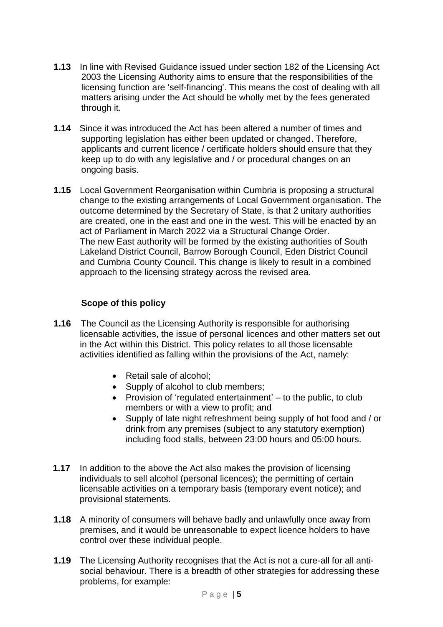- **1.13** In line with Revised Guidance issued under section 182 of the Licensing Act 2003 the Licensing Authority aims to ensure that the responsibilities of the licensing function are 'self-financing'. This means the cost of dealing with all matters arising under the Act should be wholly met by the fees generated through it.
- **1.14** Since it was introduced the Act has been altered a number of times and supporting legislation has either been updated or changed. Therefore, applicants and current licence / certificate holders should ensure that they keep up to do with any legislative and / or procedural changes on an ongoing basis.
- **1.15** Local Government Reorganisation within Cumbria is proposing a structural change to the existing arrangements of Local Government organisation. The outcome determined by the Secretary of State, is that 2 unitary authorities are created, one in the east and one in the west. This will be enacted by an act of Parliament in March 2022 via a Structural Change Order. The new East authority will be formed by the existing authorities of South Lakeland District Council, Barrow Borough Council, Eden District Council and Cumbria County Council. This change is likely to result in a combined approach to the licensing strategy across the revised area.

# **Scope of this policy**

- **1.16** The Council as the Licensing Authority is responsible for authorising licensable activities, the issue of personal licences and other matters set out in the Act within this District. This policy relates to all those licensable activities identified as falling within the provisions of the Act, namely:
	- Retail sale of alcohol;
	- Supply of alcohol to club members;
	- $\bullet$  Provision of 'regulated entertainment' to the public, to club members or with a view to profit; and
	- Supply of late night refreshment being supply of hot food and / or drink from any premises (subject to any statutory exemption) including food stalls, between 23:00 hours and 05:00 hours.
- **1.17** In addition to the above the Act also makes the provision of licensing individuals to sell alcohol (personal licences); the permitting of certain licensable activities on a temporary basis (temporary event notice); and provisional statements.
- **1.18** A minority of consumers will behave badly and unlawfully once away from premises, and it would be unreasonable to expect licence holders to have control over these individual people.
- **1.19** The Licensing Authority recognises that the Act is not a cure-all for all antisocial behaviour. There is a breadth of other strategies for addressing these problems, for example: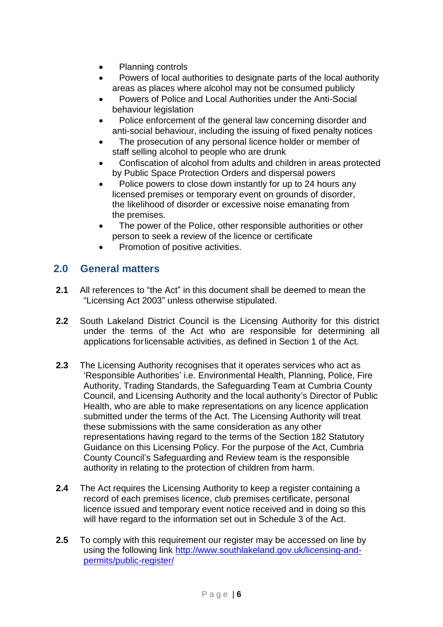- Planning controls
- Powers of local authorities to designate parts of the local authority areas as places where alcohol may not be consumed publicly
- Powers of Police and Local Authorities under the Anti-Social behaviour legislation
- Police enforcement of the general law concerning disorder and anti-social behaviour, including the issuing of fixed penalty notices
- The prosecution of any personal licence holder or member of staff selling alcohol to people who are drunk
- Confiscation of alcohol from adults and children in areas protected by Public Space Protection Orders and dispersal powers
- Police powers to close down instantly for up to 24 hours any licensed premises or temporary event on grounds of disorder, the likelihood of disorder or excessive noise emanating from the premises.
- The power of the Police, other responsible authorities or other person to seek a review of the licence or certificate
- Promotion of positive activities.

# **2.0 General matters**

- **2.1** All references to "the Act" in this document shall be deemed to mean the "Licensing Act 2003" unless otherwise stipulated.
- **2.2** South Lakeland District Council is the Licensing Authority for this district under the terms of the Act who are responsible for determining all applications forlicensable activities, as defined in Section 1 of the Act.
- **2.3** The Licensing Authority recognises that it operates services who act as 'Responsible Authorities' i.e. Environmental Health, Planning, Police, Fire Authority, Trading Standards, the Safeguarding Team at Cumbria County Council, and Licensing Authority and the local authority's Director of Public Health, who are able to make representations on any licence application submitted under the terms of the Act. The Licensing Authority will treat these submissions with the same consideration as any other representations having regard to the terms of the Section 182 Statutory Guidance on this Licensing Policy. For the purpose of the Act, Cumbria County Council's Safeguarding and Review team is the responsible authority in relating to the protection of children from harm.
- **2.4** The Act requires the Licensing Authority to keep a register containing a record of each premises licence, club premises certificate, personal licence issued and temporary event notice received and in doing so this will have regard to the information set out in Schedule 3 of the Act.
- **2.5** To comply with this requirement our register may be accessed on line by using the following link [http://www.southlakeland.gov.uk/licensing-and](http://www.southlakeland.gov.uk/licensing-and-permits/public-register/)[permits/public-register/](http://www.southlakeland.gov.uk/licensing-and-permits/public-register/)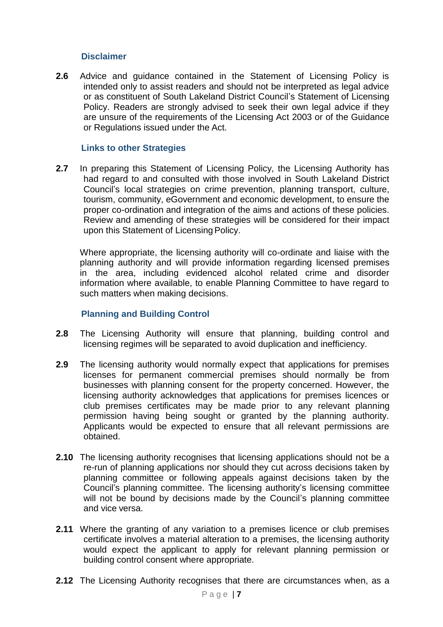#### **Disclaimer**

**2.6** Advice and guidance contained in the Statement of Licensing Policy is intended only to assist readers and should not be interpreted as legal advice or as constituent of South Lakeland District Council's Statement of Licensing Policy. Readers are strongly advised to seek their own legal advice if they are unsure of the requirements of the Licensing Act 2003 or of the Guidance or Regulations issued under the Act.

#### **Links to other Strategies**

**2.7** In preparing this Statement of Licensing Policy, the Licensing Authority has had regard to and consulted with those involved in South Lakeland District Council's local strategies on crime prevention, planning transport, culture, tourism, community, eGovernment and economic development, to ensure the proper co-ordination and integration of the aims and actions of these policies. Review and amending of these strategies will be considered for their impact upon this Statement of Licensing Policy.

Where appropriate, the licensing authority will co-ordinate and liaise with the planning authority and will provide information regarding licensed premises in the area, including evidenced alcohol related crime and disorder information where available, to enable Planning Committee to have regard to such matters when making decisions.

#### **Planning and Building Control**

- **2.8** The Licensing Authority will ensure that planning, building control and licensing regimes will be separated to avoid duplication and inefficiency.
- **2.9** The licensing authority would normally expect that applications for premises licenses for permanent commercial premises should normally be from businesses with planning consent for the property concerned. However, the licensing authority acknowledges that applications for premises licences or club premises certificates may be made prior to any relevant planning permission having being sought or granted by the planning authority. Applicants would be expected to ensure that all relevant permissions are obtained.
- **2.10** The licensing authority recognises that licensing applications should not be a re-run of planning applications nor should they cut across decisions taken by planning committee or following appeals against decisions taken by the Council's planning committee. The licensing authority's licensing committee will not be bound by decisions made by the Council's planning committee and vice versa.
- **2.11** Where the granting of any variation to a premises licence or club premises certificate involves a material alteration to a premises, the licensing authority would expect the applicant to apply for relevant planning permission or building control consent where appropriate.
- **2.12** The Licensing Authority recognises that there are circumstances when, as a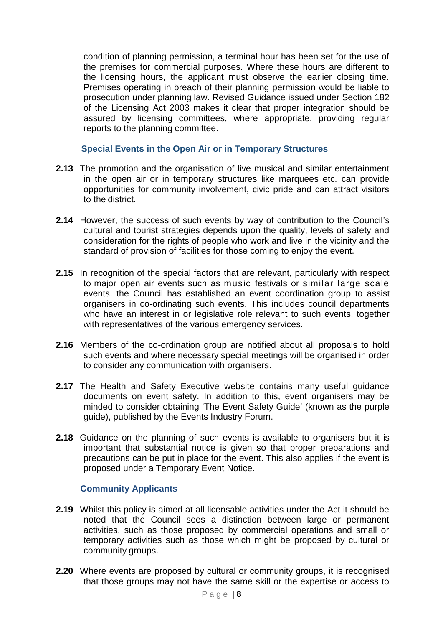condition of planning permission, a terminal hour has been set for the use of the premises for commercial purposes. Where these hours are different to the licensing hours, the applicant must observe the earlier closing time. Premises operating in breach of their planning permission would be liable to prosecution under planning law. Revised Guidance issued under Section 182 of the Licensing Act 2003 makes it clear that proper integration should be assured by licensing committees, where appropriate, providing regular reports to the planning committee.

**Special Events in the Open Air or in Temporary Structures**

- **2.13** The promotion and the organisation of live musical and similar entertainment in the open air or in temporary structures like marquees etc. can provide opportunities for community involvement, civic pride and can attract visitors to the district.
- **2.14** However, the success of such events by way of contribution to the Council's cultural and tourist strategies depends upon the quality, levels of safety and consideration for the rights of people who work and live in the vicinity and the standard of provision of facilities for those coming to enjoy the event.
- **2.15** In recognition of the special factors that are relevant, particularly with respect to major open air events such as music festivals or similar large scale events, the Council has established an event coordination group to assist organisers in co-ordinating such events. This includes council departments who have an interest in or legislative role relevant to such events, together with representatives of the various emergency services.
- **2.16** Members of the co-ordination group are notified about all proposals to hold such events and where necessary special meetings will be organised in order to consider any communication with organisers.
- **2.17** The Health and Safety Executive website contains many useful guidance documents on event safety. In addition to this, event organisers may be minded to consider obtaining 'The Event Safety Guide' (known as the purple guide), published by the Events Industry Forum.
- **2.18** Guidance on the planning of such events is available to organisers but it is important that substantial notice is given so that proper preparations and precautions can be put in place for the event. This also applies if the event is proposed under a Temporary Event Notice.

# **Community Applicants**

- **2.19** Whilst this policy is aimed at all licensable activities under the Act it should be noted that the Council sees a distinction between large or permanent activities, such as those proposed by commercial operations and small or temporary activities such as those which might be proposed by cultural or community groups.
- **2.20** Where events are proposed by cultural or community groups, it is recognised that those groups may not have the same skill or the expertise or access to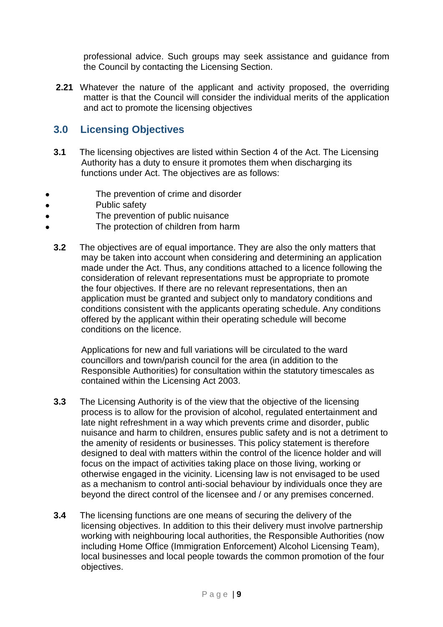professional advice. Such groups may seek assistance and guidance from the Council by contacting the Licensing Section.

**2.21** Whatever the nature of the applicant and activity proposed, the overriding matter is that the Council will consider the individual merits of the application and act to promote the licensing objectives

# **3.0 Licensing Objectives**

- **3.1** The licensing objectives are listed within Section 4 of the Act. The Licensing Authority has a duty to ensure it promotes them when discharging its functions under Act. The objectives are as follows:
- The prevention of crime and disorder
- Public safety
- The prevention of public nuisance
- The protection of children from harm
	- **3.2** The objectives are of equal importance. They are also the only matters that may be taken into account when considering and determining an application made under the Act. Thus, any conditions attached to a licence following the consideration of relevant representations must be appropriate to promote the four objectives. If there are no relevant representations, then an application must be granted and subject only to mandatory conditions and conditions consistent with the applicants operating schedule. Any conditions offered by the applicant within their operating schedule will become conditions on the licence.

Applications for new and full variations will be circulated to the ward councillors and town/parish council for the area (in addition to the Responsible Authorities) for consultation within the statutory timescales as contained within the Licensing Act 2003.

- **3.3** The Licensing Authority is of the view that the objective of the licensing process is to allow for the provision of alcohol, regulated entertainment and late night refreshment in a way which prevents crime and disorder, public nuisance and harm to children, ensures public safety and is not a detriment to the amenity of residents or businesses. This policy statement is therefore designed to deal with matters within the control of the licence holder and will focus on the impact of activities taking place on those living, working or otherwise engaged in the vicinity. Licensing law is not envisaged to be used as a mechanism to control anti-social behaviour by individuals once they are beyond the direct control of the licensee and / or any premises concerned.
- **3.4** The licensing functions are one means of securing the delivery of the licensing objectives. In addition to this their delivery must involve partnership working with neighbouring local authorities, the Responsible Authorities (now including Home Office (Immigration Enforcement) Alcohol Licensing Team), local businesses and local people towards the common promotion of the four objectives.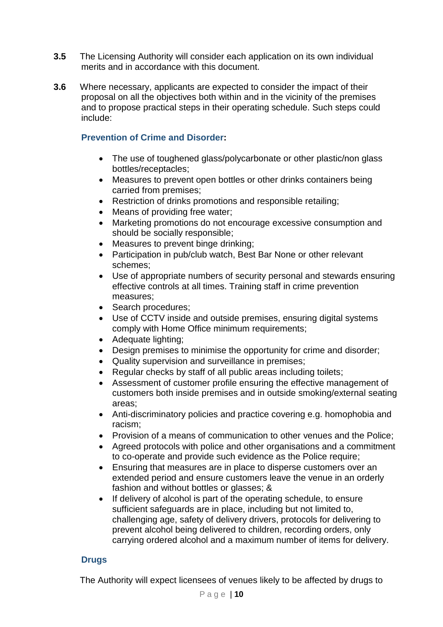- **3.5** The Licensing Authority will consider each application on its own individual merits and in accordance with this document.
- **3.6** Where necessary, applicants are expected to consider the impact of their proposal on all the objectives both within and in the vicinity of the premises and to propose practical steps in their operating schedule. Such steps could include:

# **Prevention of Crime and Disorder:**

- The use of toughened glass/polycarbonate or other plastic/non glass bottles/receptacles;
- Measures to prevent open bottles or other drinks containers being carried from premises;
- Restriction of drinks promotions and responsible retailing;
- Means of providing free water;
- Marketing promotions do not encourage excessive consumption and should be socially responsible;
- Measures to prevent binge drinking;
- Participation in pub/club watch, Best Bar None or other relevant schemes;
- Use of appropriate numbers of security personal and stewards ensuring effective controls at all times. Training staff in crime prevention measures;
- Search procedures;
- Use of CCTV inside and outside premises, ensuring digital systems comply with Home Office minimum requirements;
- Adequate lighting;
- Design premises to minimise the opportunity for crime and disorder;
- Quality supervision and surveillance in premises;
- Regular checks by staff of all public areas including toilets;
- Assessment of customer profile ensuring the effective management of customers both inside premises and in outside smoking/external seating areas;
- Anti-discriminatory policies and practice covering e.g. homophobia and racism;
- Provision of a means of communication to other venues and the Police;
- Agreed protocols with police and other organisations and a commitment to co-operate and provide such evidence as the Police require;
- Ensuring that measures are in place to disperse customers over an extended period and ensure customers leave the venue in an orderly fashion and without bottles or glasses; &
- If delivery of alcohol is part of the operating schedule, to ensure sufficient safeguards are in place, including but not limited to, challenging age, safety of delivery drivers, protocols for delivering to prevent alcohol being delivered to children, recording orders, only carrying ordered alcohol and a maximum number of items for delivery.

# **Drugs**

The Authority will expect licensees of venues likely to be affected by drugs to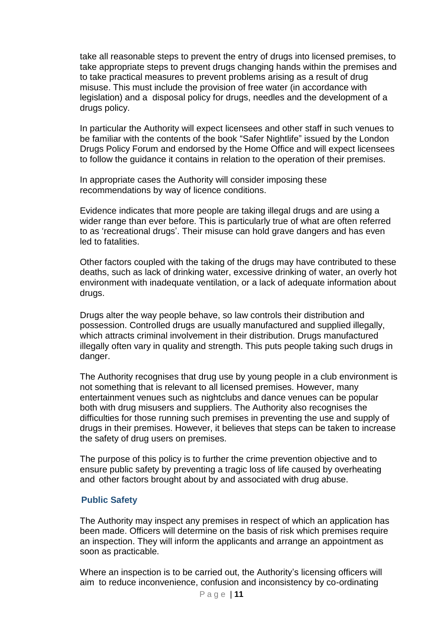take all reasonable steps to prevent the entry of drugs into licensed premises, to take appropriate steps to prevent drugs changing hands within the premises and to take practical measures to prevent problems arising as a result of drug misuse. This must include the provision of free water (in accordance with legislation) and a disposal policy for drugs, needles and the development of a drugs policy.

In particular the Authority will expect licensees and other staff in such venues to be familiar with the contents of the book "Safer Nightlife" issued by the London Drugs Policy Forum and endorsed by the Home Office and will expect licensees to follow the guidance it contains in relation to the operation of their premises.

In appropriate cases the Authority will consider imposing these recommendations by way of licence conditions.

Evidence indicates that more people are taking illegal drugs and are using a wider range than ever before. This is particularly true of what are often referred to as 'recreational drugs'. Their misuse can hold grave dangers and has even led to fatalities.

Other factors coupled with the taking of the drugs may have contributed to these deaths, such as lack of drinking water, excessive drinking of water, an overly hot environment with inadequate ventilation, or a lack of adequate information about drugs.

Drugs alter the way people behave, so law controls their distribution and possession. Controlled drugs are usually manufactured and supplied illegally, which attracts criminal involvement in their distribution. Drugs manufactured illegally often vary in quality and strength. This puts people taking such drugs in danger.

The Authority recognises that drug use by young people in a club environment is not something that is relevant to all licensed premises. However, many entertainment venues such as nightclubs and dance venues can be popular both with drug misusers and suppliers. The Authority also recognises the difficulties for those running such premises in preventing the use and supply of drugs in their premises. However, it believes that steps can be taken to increase the safety of drug users on premises.

The purpose of this policy is to further the crime prevention objective and to ensure public safety by preventing a tragic loss of life caused by overheating and other factors brought about by and associated with drug abuse.

# **Public Safety**

The Authority may inspect any premises in respect of which an application has been made. Officers will determine on the basis of risk which premises require an inspection. They will inform the applicants and arrange an appointment as soon as practicable.

Where an inspection is to be carried out, the Authority's licensing officers will aim to reduce inconvenience, confusion and inconsistency by co-ordinating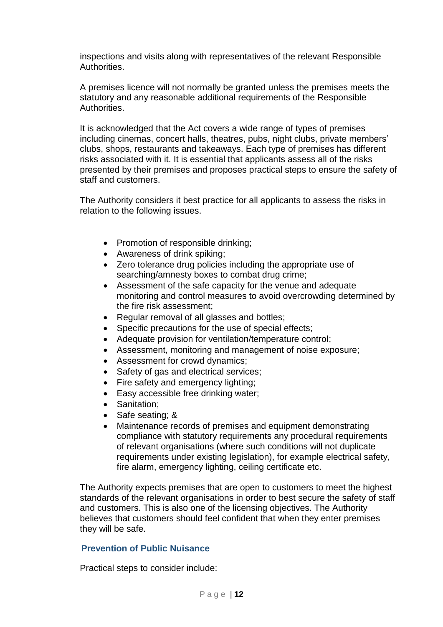inspections and visits along with representatives of the relevant Responsible Authorities.

A premises licence will not normally be granted unless the premises meets the statutory and any reasonable additional requirements of the Responsible Authorities.

It is acknowledged that the Act covers a wide range of types of premises including cinemas, concert halls, theatres, pubs, night clubs, private members' clubs, shops, restaurants and takeaways. Each type of premises has different risks associated with it. It is essential that applicants assess all of the risks presented by their premises and proposes practical steps to ensure the safety of staff and customers.

The Authority considers it best practice for all applicants to assess the risks in relation to the following issues.

- Promotion of responsible drinking;
- Awareness of drink spiking;
- Zero tolerance drug policies including the appropriate use of searching/amnesty boxes to combat drug crime;
- Assessment of the safe capacity for the venue and adequate monitoring and control measures to avoid overcrowding determined by the fire risk assessment;
- Regular removal of all glasses and bottles;
- Specific precautions for the use of special effects;
- Adequate provision for ventilation/temperature control;
- Assessment, monitoring and management of noise exposure;
- Assessment for crowd dynamics;
- Safety of gas and electrical services;
- Fire safety and emergency lighting;
- Easy accessible free drinking water;
- Sanitation:
- Safe seating; &
- Maintenance records of premises and equipment demonstrating compliance with statutory requirements any procedural requirements of relevant organisations (where such conditions will not duplicate requirements under existing legislation), for example electrical safety, fire alarm, emergency lighting, ceiling certificate etc.

The Authority expects premises that are open to customers to meet the highest standards of the relevant organisations in order to best secure the safety of staff and customers. This is also one of the licensing objectives. The Authority believes that customers should feel confident that when they enter premises they will be safe.

#### **Prevention of Public Nuisance**

Practical steps to consider include: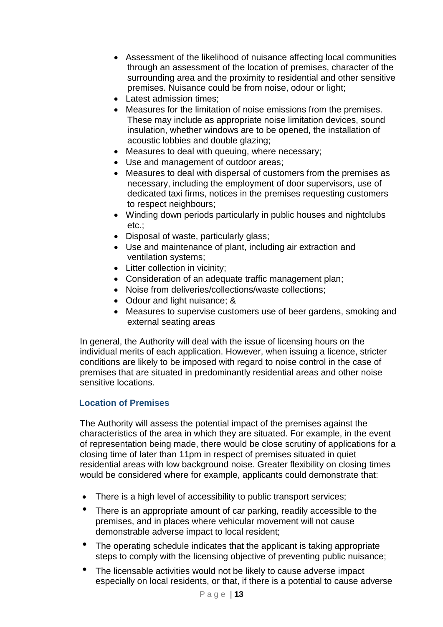- Assessment of the likelihood of nuisance affecting local communities through an assessment of the location of premises, character of the surrounding area and the proximity to residential and other sensitive premises. Nuisance could be from noise, odour or light;
- Latest admission times;
- Measures for the limitation of noise emissions from the premises. These may include as appropriate noise limitation devices, sound insulation, whether windows are to be opened, the installation of acoustic lobbies and double glazing;
- Measures to deal with queuing, where necessary;
- Use and management of outdoor areas;
- Measures to deal with dispersal of customers from the premises as necessary, including the employment of door supervisors, use of dedicated taxi firms, notices in the premises requesting customers to respect neighbours;
- Winding down periods particularly in public houses and nightclubs etc.;
- Disposal of waste, particularly glass;
- Use and maintenance of plant, including air extraction and ventilation systems;
- Litter collection in vicinity;
- Consideration of an adequate traffic management plan;
- Noise from deliveries/collections/waste collections;
- Odour and light nuisance; &
- Measures to supervise customers use of beer gardens, smoking and external seating areas

In general, the Authority will deal with the issue of licensing hours on the individual merits of each application. However, when issuing a licence, stricter conditions are likely to be imposed with regard to noise control in the case of premises that are situated in predominantly residential areas and other noise sensitive locations.

# **Location of Premises**

The Authority will assess the potential impact of the premises against the characteristics of the area in which they are situated. For example, in the event of representation being made, there would be close scrutiny of applications for a closing time of later than 11pm in respect of premises situated in quiet residential areas with low background noise. Greater flexibility on closing times would be considered where for example, applicants could demonstrate that:

- There is a high level of accessibility to public transport services;
- There is an appropriate amount of car parking, readily accessible to the premises, and in places where vehicular movement will not cause demonstrable adverse impact to local resident;
- The operating schedule indicates that the applicant is taking appropriate steps to comply with the licensing objective of preventing public nuisance;
- The licensable activities would not be likely to cause adverse impact especially on local residents, or that, if there is a potential to cause adverse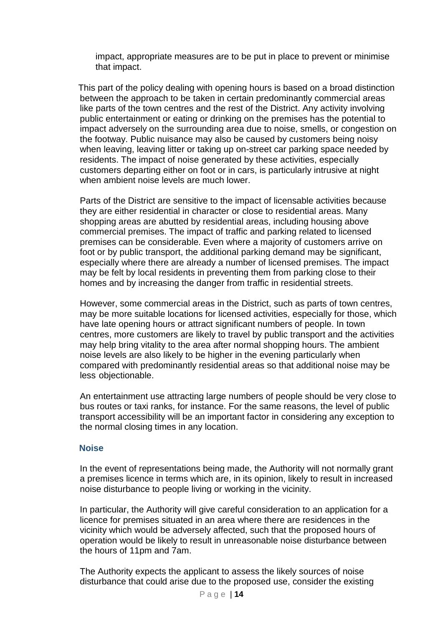impact, appropriate measures are to be put in place to prevent or minimise that impact.

 This part of the policy dealing with opening hours is based on a broad distinction between the approach to be taken in certain predominantly commercial areas like parts of the town centres and the rest of the District. Any activity involving public entertainment or eating or drinking on the premises has the potential to impact adversely on the surrounding area due to noise, smells, or congestion on the footway. Public nuisance may also be caused by customers being noisy when leaving, leaving litter or taking up on-street car parking space needed by residents. The impact of noise generated by these activities, especially customers departing either on foot or in cars, is particularly intrusive at night when ambient noise levels are much lower.

Parts of the District are sensitive to the impact of licensable activities because they are either residential in character or close to residential areas. Many shopping areas are abutted by residential areas, including housing above commercial premises. The impact of traffic and parking related to licensed premises can be considerable. Even where a majority of customers arrive on foot or by public transport, the additional parking demand may be significant, especially where there are already a number of licensed premises. The impact may be felt by local residents in preventing them from parking close to their homes and by increasing the danger from traffic in residential streets.

However, some commercial areas in the District, such as parts of town centres, may be more suitable locations for licensed activities, especially for those, which have late opening hours or attract significant numbers of people. In town centres, more customers are likely to travel by public transport and the activities may help bring vitality to the area after normal shopping hours. The ambient noise levels are also likely to be higher in the evening particularly when compared with predominantly residential areas so that additional noise may be less objectionable.

An entertainment use attracting large numbers of people should be very close to bus routes or taxi ranks, for instance. For the same reasons, the level of public transport accessibility will be an important factor in considering any exception to the normal closing times in any location.

#### **Noise**

In the event of representations being made, the Authority will not normally grant a premises licence in terms which are, in its opinion, likely to result in increased noise disturbance to people living or working in the vicinity.

In particular, the Authority will give careful consideration to an application for a licence for premises situated in an area where there are residences in the vicinity which would be adversely affected, such that the proposed hours of operation would be likely to result in unreasonable noise disturbance between the hours of 11pm and 7am.

The Authority expects the applicant to assess the likely sources of noise disturbance that could arise due to the proposed use, consider the existing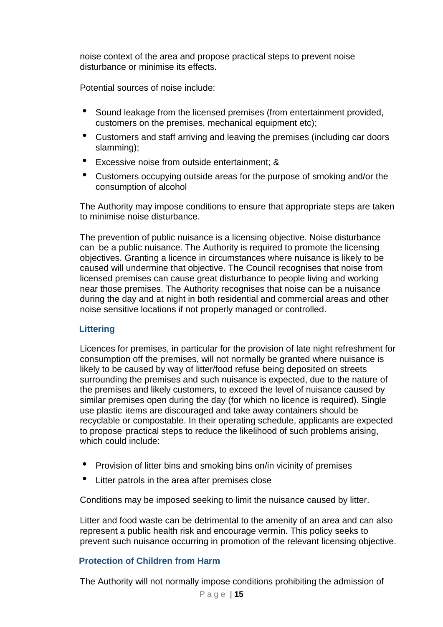noise context of the area and propose practical steps to prevent noise disturbance or minimise its effects.

Potential sources of noise include:

- Sound leakage from the licensed premises (from entertainment provided, customers on the premises, mechanical equipment etc);
- Customers and staff arriving and leaving the premises (including car doors slamming);
- Excessive noise from outside entertainment; &
- Customers occupying outside areas for the purpose of smoking and/or the consumption of alcohol

The Authority may impose conditions to ensure that appropriate steps are taken to minimise noise disturbance.

The prevention of public nuisance is a licensing objective. Noise disturbance can be a public nuisance. The Authority is required to promote the licensing objectives. Granting a licence in circumstances where nuisance is likely to be caused will undermine that objective. The Council recognises that noise from licensed premises can cause great disturbance to people living and working near those premises. The Authority recognises that noise can be a nuisance during the day and at night in both residential and commercial areas and other noise sensitive locations if not properly managed or controlled.

# **Littering**

Licences for premises, in particular for the provision of late night refreshment for consumption off the premises, will not normally be granted where nuisance is likely to be caused by way of litter/food refuse being deposited on streets surrounding the premises and such nuisance is expected, due to the nature of the premises and likely customers, to exceed the level of nuisance caused by similar premises open during the day (for which no licence is required). Single use plastic items are discouraged and take away containers should be recyclable or compostable. In their operating schedule, applicants are expected to propose practical steps to reduce the likelihood of such problems arising, which could include:

- Provision of litter bins and smoking bins on/in vicinity of premises
- Litter patrols in the area after premises close

Conditions may be imposed seeking to limit the nuisance caused by litter.

Litter and food waste can be detrimental to the amenity of an area and can also represent a public health risk and encourage vermin. This policy seeks to prevent such nuisance occurring in promotion of the relevant licensing objective.

# **Protection of Children from Harm**

The Authority will not normally impose conditions prohibiting the admission of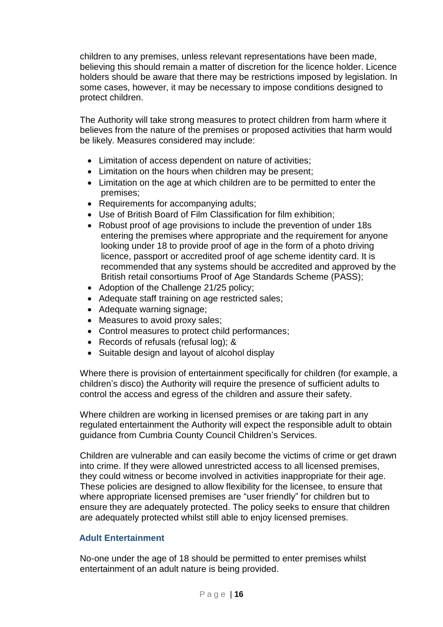children to any premises, unless relevant representations have been made, believing this should remain a matter of discretion for the licence holder. Licence holders should be aware that there may be restrictions imposed by legislation. In some cases, however, it may be necessary to impose conditions designed to protect children.

The Authority will take strong measures to protect children from harm where it believes from the nature of the premises or proposed activities that harm would be likely. Measures considered may include:

- Limitation of access dependent on nature of activities;
- Limitation on the hours when children may be present;
- Limitation on the age at which children are to be permitted to enter the premises;
- Requirements for accompanying adults;
- Use of British Board of Film Classification for film exhibition;
- Robust proof of age provisions to include the prevention of under 18s entering the premises where appropriate and the requirement for anyone looking under 18 to provide proof of age in the form of a photo driving licence, passport or accredited proof of age scheme identity card. It is recommended that any systems should be accredited and approved by the British retail consortiums Proof of Age Standards Scheme (PASS);
- Adoption of the Challenge 21/25 policy;
- Adequate staff training on age restricted sales;
- Adequate warning signage;
- Measures to avoid proxy sales;
- Control measures to protect child performances;
- Records of refusals (refusal log); &
- Suitable design and layout of alcohol display

Where there is provision of entertainment specifically for children (for example, a children's disco) the Authority will require the presence of sufficient adults to control the access and egress of the children and assure their safety.

Where children are working in licensed premises or are taking part in any regulated entertainment the Authority will expect the responsible adult to obtain guidance from Cumbria County Council Children's Services.

Children are vulnerable and can easily become the victims of crime or get drawn into crime. If they were allowed unrestricted access to all licensed premises, they could witness or become involved in activities inappropriate for their age. These policies are designed to allow flexibility for the licensee, to ensure that where appropriate licensed premises are "user friendly" for children but to ensure they are adequately protected. The policy seeks to ensure that children are adequately protected whilst still able to enjoy licensed premises.

#### **Adult Entertainment**

No-one under the age of 18 should be permitted to enter premises whilst entertainment of an adult nature is being provided.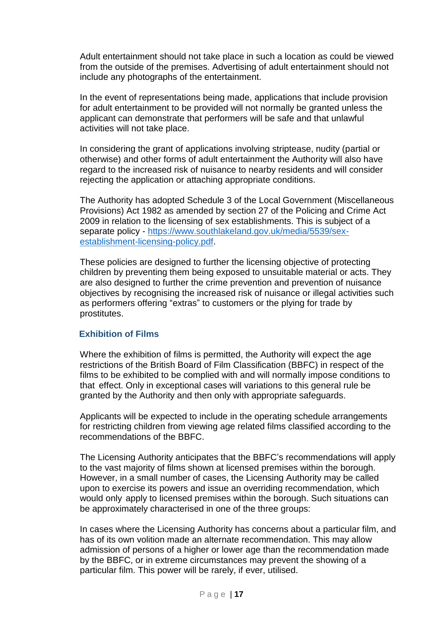Adult entertainment should not take place in such a location as could be viewed from the outside of the premises. Advertising of adult entertainment should not include any photographs of the entertainment.

In the event of representations being made, applications that include provision for adult entertainment to be provided will not normally be granted unless the applicant can demonstrate that performers will be safe and that unlawful activities will not take place.

In considering the grant of applications involving striptease, nudity (partial or otherwise) and other forms of adult entertainment the Authority will also have regard to the increased risk of nuisance to nearby residents and will consider rejecting the application or attaching appropriate conditions.

The Authority has adopted Schedule 3 of the Local Government (Miscellaneous Provisions) Act 1982 as amended by section 27 of the Policing and Crime Act 2009 in relation to the licensing of sex establishments. This is subject of a separate policy - [https://www.southlakeland.gov.uk/media/5539/sex](https://www.southlakeland.gov.uk/media/5539/sex-establishment-licensing-policy.pdf)[establishment-licensing-policy.pdf.](https://www.southlakeland.gov.uk/media/5539/sex-establishment-licensing-policy.pdf)

These policies are designed to further the licensing objective of protecting children by preventing them being exposed to unsuitable material or acts. They are also designed to further the crime prevention and prevention of nuisance objectives by recognising the increased risk of nuisance or illegal activities such as performers offering "extras" to customers or the plying for trade by prostitutes.

# **Exhibition of Films**

Where the exhibition of films is permitted, the Authority will expect the age restrictions of the British Board of Film Classification (BBFC) in respect of the films to be exhibited to be complied with and will normally impose conditions to that effect. Only in exceptional cases will variations to this general rule be granted by the Authority and then only with appropriate safeguards.

Applicants will be expected to include in the operating schedule arrangements for restricting children from viewing age related films classified according to the recommendations of the BBFC.

The Licensing Authority anticipates that the BBFC's recommendations will apply to the vast majority of films shown at licensed premises within the borough. However, in a small number of cases, the Licensing Authority may be called upon to exercise its powers and issue an overriding recommendation, which would only apply to licensed premises within the borough. Such situations can be approximately characterised in one of the three groups:

In cases where the Licensing Authority has concerns about a particular film, and has of its own volition made an alternate recommendation. This may allow admission of persons of a higher or lower age than the recommendation made by the BBFC, or in extreme circumstances may prevent the showing of a particular film. This power will be rarely, if ever, utilised.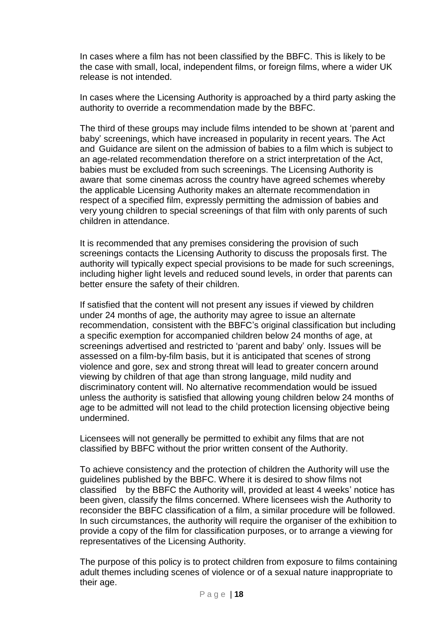In cases where a film has not been classified by the BBFC. This is likely to be the case with small, local, independent films, or foreign films, where a wider UK release is not intended.

In cases where the Licensing Authority is approached by a third party asking the authority to override a recommendation made by the BBFC.

The third of these groups may include films intended to be shown at 'parent and baby' screenings, which have increased in popularity in recent years. The Act and Guidance are silent on the admission of babies to a film which is subject to an age-related recommendation therefore on a strict interpretation of the Act, babies must be excluded from such screenings. The Licensing Authority is aware that some cinemas across the country have agreed schemes whereby the applicable Licensing Authority makes an alternate recommendation in respect of a specified film, expressly permitting the admission of babies and very young children to special screenings of that film with only parents of such children in attendance.

It is recommended that any premises considering the provision of such screenings contacts the Licensing Authority to discuss the proposals first. The authority will typically expect special provisions to be made for such screenings, including higher light levels and reduced sound levels, in order that parents can better ensure the safety of their children.

If satisfied that the content will not present any issues if viewed by children under 24 months of age, the authority may agree to issue an alternate recommendation, consistent with the BBFC's original classification but including a specific exemption for accompanied children below 24 months of age, at screenings advertised and restricted to 'parent and baby' only. Issues will be assessed on a film-by-film basis, but it is anticipated that scenes of strong violence and gore, sex and strong threat will lead to greater concern around viewing by children of that age than strong language, mild nudity and discriminatory content will. No alternative recommendation would be issued unless the authority is satisfied that allowing young children below 24 months of age to be admitted will not lead to the child protection licensing objective being undermined.

Licensees will not generally be permitted to exhibit any films that are not classified by BBFC without the prior written consent of the Authority.

To achieve consistency and the protection of children the Authority will use the guidelines published by the BBFC. Where it is desired to show films not classified by the BBFC the Authority will, provided at least 4 weeks' notice has been given, classify the films concerned. Where licensees wish the Authority to reconsider the BBFC classification of a film, a similar procedure will be followed. In such circumstances, the authority will require the organiser of the exhibition to provide a copy of the film for classification purposes, or to arrange a viewing for representatives of the Licensing Authority.

The purpose of this policy is to protect children from exposure to films containing adult themes including scenes of violence or of a sexual nature inappropriate to their age.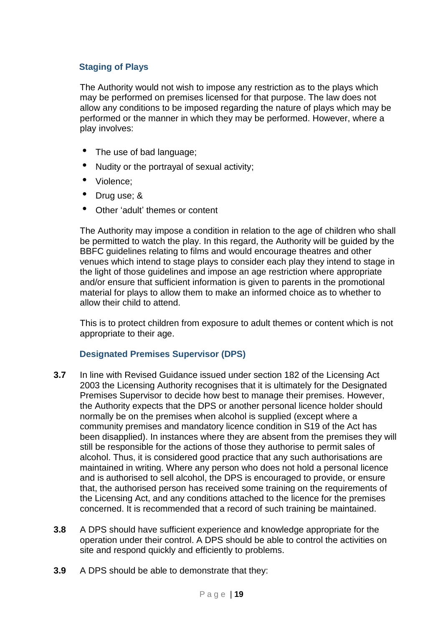# **Staging of Plays**

The Authority would not wish to impose any restriction as to the plays which may be performed on premises licensed for that purpose. The law does not allow any conditions to be imposed regarding the nature of plays which may be performed or the manner in which they may be performed. However, where a play involves:

- The use of bad language;
- Nudity or the portrayal of sexual activity;
- Violence;
- Drug use; &
- Other 'adult' themes or content

The Authority may impose a condition in relation to the age of children who shall be permitted to watch the play. In this regard, the Authority will be guided by the BBFC guidelines relating to films and would encourage theatres and other venues which intend to stage plays to consider each play they intend to stage in the light of those guidelines and impose an age restriction where appropriate and/or ensure that sufficient information is given to parents in the promotional material for plays to allow them to make an informed choice as to whether to allow their child to attend.

This is to protect children from exposure to adult themes or content which is not appropriate to their age.

# **Designated Premises Supervisor (DPS)**

- **3.7** In line with Revised Guidance issued under section 182 of the Licensing Act 2003 the Licensing Authority recognises that it is ultimately for the Designated Premises Supervisor to decide how best to manage their premises. However, the Authority expects that the DPS or another personal licence holder should normally be on the premises when alcohol is supplied (except where a community premises and mandatory licence condition in S19 of the Act has been disapplied). In instances where they are absent from the premises they will still be responsible for the actions of those they authorise to permit sales of alcohol. Thus, it is considered good practice that any such authorisations are maintained in writing. Where any person who does not hold a personal licence and is authorised to sell alcohol, the DPS is encouraged to provide, or ensure that, the authorised person has received some training on the requirements of the Licensing Act, and any conditions attached to the licence for the premises concerned. It is recommended that a record of such training be maintained.
- **3.8** A DPS should have sufficient experience and knowledge appropriate for the operation under their control. A DPS should be able to control the activities on site and respond quickly and efficiently to problems.
- **3.9** A DPS should be able to demonstrate that they: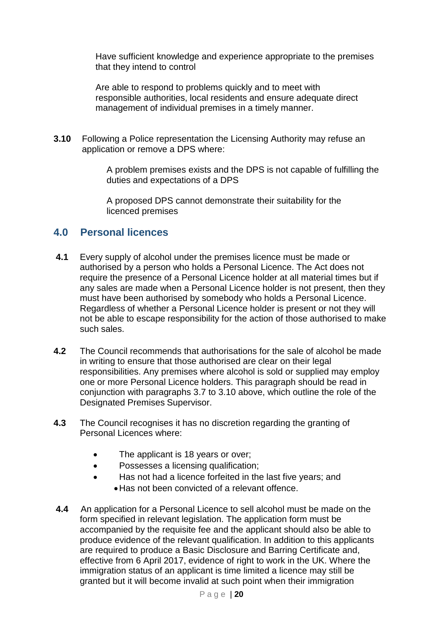Have sufficient knowledge and experience appropriate to the premises that they intend to control

Are able to respond to problems quickly and to meet with responsible authorities, local residents and ensure adequate direct management of individual premises in a timely manner.

**3.10** Following a Police representation the Licensing Authority may refuse an application or remove a DPS where:

> A problem premises exists and the DPS is not capable of fulfilling the duties and expectations of a DPS

A proposed DPS cannot demonstrate their suitability for the licenced premises

# **4.0 Personal licences**

- **4.1** Every supply of alcohol under the premises licence must be made or authorised by a person who holds a Personal Licence. The Act does not require the presence of a Personal Licence holder at all material times but if any sales are made when a Personal Licence holder is not present, then they must have been authorised by somebody who holds a Personal Licence. Regardless of whether a Personal Licence holder is present or not they will not be able to escape responsibility for the action of those authorised to make such sales.
- **4.2** The Council recommends that authorisations for the sale of alcohol be made in writing to ensure that those authorised are clear on their legal responsibilities. Any premises where alcohol is sold or supplied may employ one or more Personal Licence holders. This paragraph should be read in conjunction with paragraphs 3.7 to 3.10 above, which outline the role of the Designated Premises Supervisor.
- **4.3** The Council recognises it has no discretion regarding the granting of Personal Licences where:
	- The applicant is 18 years or over;
	- **•** Possesses a licensing qualification;
	- Has not had a licence forfeited in the last five years; and Has not been convicted of a relevant offence.
- **4.4** An application for a Personal Licence to sell alcohol must be made on the form specified in relevant legislation. The application form must be accompanied by the requisite fee and the applicant should also be able to produce evidence of the relevant qualification. In addition to this applicants are required to produce a Basic Disclosure and Barring Certificate and, effective from 6 April 2017, evidence of right to work in the UK. Where the immigration status of an applicant is time limited a licence may still be granted but it will become invalid at such point when their immigration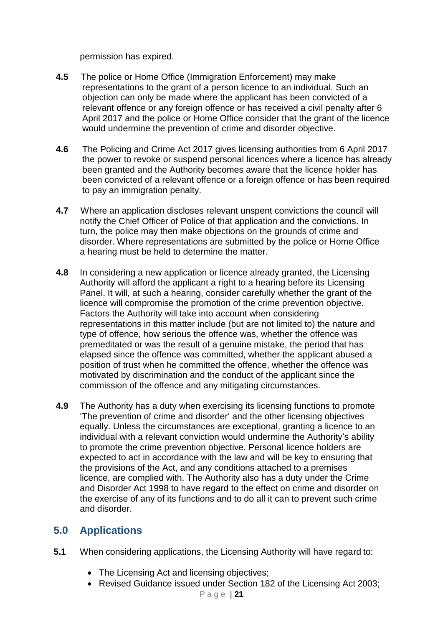permission has expired.

- **4.5** The police or Home Office (Immigration Enforcement) may make representations to the grant of a person licence to an individual. Such an objection can only be made where the applicant has been convicted of a relevant offence or any foreign offence or has received a civil penalty after 6 April 2017 and the police or Home Office consider that the grant of the licence would undermine the prevention of crime and disorder objective.
- **4.6** The Policing and Crime Act 2017 gives licensing authorities from 6 April 2017 the power to revoke or suspend personal licences where a licence has already been granted and the Authority becomes aware that the licence holder has been convicted of a relevant offence or a foreign offence or has been required to pay an immigration penalty.
- **4.7** Where an application discloses relevant unspent convictions the council will notify the Chief Officer of Police of that application and the convictions. In turn, the police may then make objections on the grounds of crime and disorder. Where representations are submitted by the police or Home Office a hearing must be held to determine the matter.
- **4.8** In considering a new application or licence already granted, the Licensing Authority will afford the applicant a right to a hearing before its Licensing Panel. It will, at such a hearing, consider carefully whether the grant of the licence will compromise the promotion of the crime prevention objective. Factors the Authority will take into account when considering representations in this matter include (but are not limited to) the nature and type of offence, how serious the offence was, whether the offence was premeditated or was the result of a genuine mistake, the period that has elapsed since the offence was committed, whether the applicant abused a position of trust when he committed the offence, whether the offence was motivated by discrimination and the conduct of the applicant since the commission of the offence and any mitigating circumstances.
- **4.9** The Authority has a duty when exercising its licensing functions to promote 'The prevention of crime and disorder' and the other licensing objectives equally. Unless the circumstances are exceptional, granting a licence to an individual with a relevant conviction would undermine the Authority's ability to promote the crime prevention objective. Personal licence holders are expected to act in accordance with the law and will be key to ensuring that the provisions of the Act, and any conditions attached to a premises licence, are complied with. The Authority also has a duty under the Crime and Disorder Act 1998 to have regard to the effect on crime and disorder on the exercise of any of its functions and to do all it can to prevent such crime and disorder.

# **5.0 Applications**

- **5.1** When considering applications, the Licensing Authority will have regard to:
	- The Licensing Act and licensing objectives;
	- Revised Guidance issued under Section 182 of the Licensing Act 2003;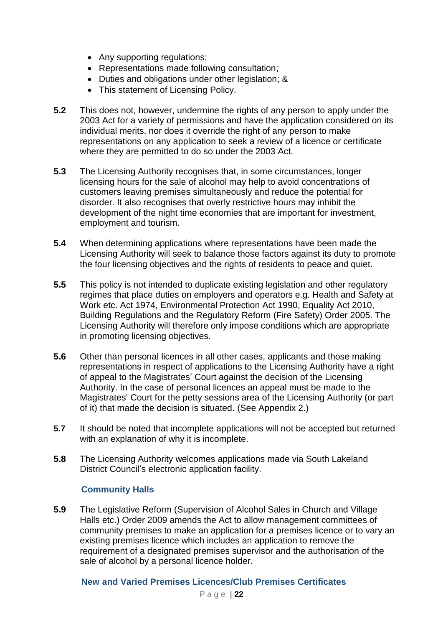- Any supporting regulations;
- Representations made following consultation;
- Duties and obligations under other legislation; &
- This statement of Licensing Policy.
- **5.2** This does not, however, undermine the rights of any person to apply under the 2003 Act for a variety of permissions and have the application considered on its individual merits, nor does it override the right of any person to make representations on any application to seek a review of a licence or certificate where they are permitted to do so under the 2003 Act.
- **5.3** The Licensing Authority recognises that, in some circumstances, longer licensing hours for the sale of alcohol may help to avoid concentrations of customers leaving premises simultaneously and reduce the potential for disorder. It also recognises that overly restrictive hours may inhibit the development of the night time economies that are important for investment, employment and tourism.
- **5.4** When determining applications where representations have been made the Licensing Authority will seek to balance those factors against its duty to promote the four licensing objectives and the rights of residents to peace and quiet.
- **5.5** This policy is not intended to duplicate existing legislation and other regulatory regimes that place duties on employers and operators e.g. Health and Safety at Work etc. Act 1974, Environmental Protection Act 1990, Equality Act 2010, Building Regulations and the Regulatory Reform (Fire Safety) Order 2005. The Licensing Authority will therefore only impose conditions which are appropriate in promoting licensing objectives.
- **5.6** Other than personal licences in all other cases, applicants and those making representations in respect of applications to the Licensing Authority have a right of appeal to the Magistrates' Court against the decision of the Licensing Authority. In the case of personal licences an appeal must be made to the Magistrates' Court for the petty sessions area of the Licensing Authority (or part of it) that made the decision is situated. (See Appendix 2.)
- **5.7** It should be noted that incomplete applications will not be accepted but returned with an explanation of why it is incomplete.
- **5.8** The Licensing Authority welcomes applications made via South Lakeland District Council's electronic application facility.

# **Community Halls**

**5.9** The Legislative Reform (Supervision of Alcohol Sales in Church and Village Halls etc.) Order 2009 amends the Act to allow management committees of community premises to make an application for a premises licence or to vary an existing premises licence which includes an application to remove the requirement of a designated premises supervisor and the authorisation of the sale of alcohol by a personal licence holder.

# **New and Varied Premises Licences/Club Premises Certificates**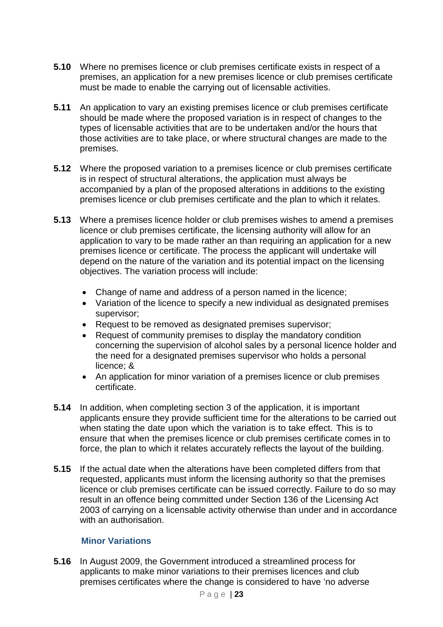- **5.10** Where no premises licence or club premises certificate exists in respect of a premises, an application for a new premises licence or club premises certificate must be made to enable the carrying out of licensable activities.
- **5.11** An application to vary an existing premises licence or club premises certificate should be made where the proposed variation is in respect of changes to the types of licensable activities that are to be undertaken and/or the hours that those activities are to take place, or where structural changes are made to the premises.
- **5.12** Where the proposed variation to a premises licence or club premises certificate is in respect of structural alterations, the application must always be accompanied by a plan of the proposed alterations in additions to the existing premises licence or club premises certificate and the plan to which it relates.
- **5.13** Where a premises licence holder or club premises wishes to amend a premises licence or club premises certificate, the licensing authority will allow for an application to vary to be made rather an than requiring an application for a new premises licence or certificate. The process the applicant will undertake will depend on the nature of the variation and its potential impact on the licensing objectives. The variation process will include:
	- Change of name and address of a person named in the licence;
	- Variation of the licence to specify a new individual as designated premises supervisor;
	- Request to be removed as designated premises supervisor;
	- Request of community premises to display the mandatory condition concerning the supervision of alcohol sales by a personal licence holder and the need for a designated premises supervisor who holds a personal licence; &
	- An application for minor variation of a premises licence or club premises certificate.
- **5.14** In addition, when completing section 3 of the application, it is important applicants ensure they provide sufficient time for the alterations to be carried out when stating the date upon which the variation is to take effect. This is to ensure that when the premises licence or club premises certificate comes in to force, the plan to which it relates accurately reflects the layout of the building.
- **5.15** If the actual date when the alterations have been completed differs from that requested, applicants must inform the licensing authority so that the premises licence or club premises certificate can be issued correctly. Failure to do so may result in an offence being committed under Section 136 of the Licensing Act 2003 of carrying on a licensable activity otherwise than under and in accordance with an authorisation.

# **Minor Variations**

**5.16** In August 2009, the Government introduced a streamlined process for applicants to make minor variations to their premises licences and club premises certificates where the change is considered to have 'no adverse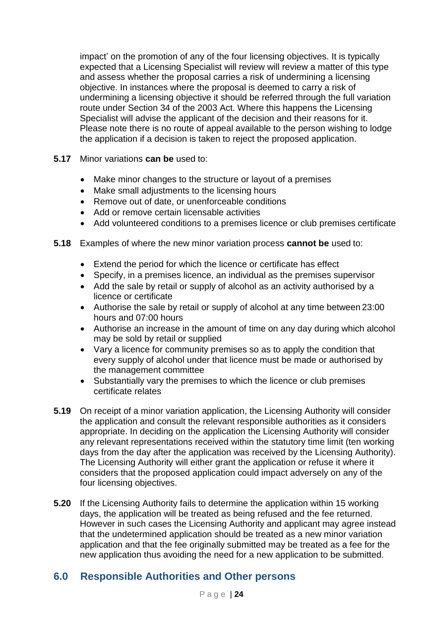impact' on the promotion of any of the four licensing objectives. It is typically expected that a Licensing Specialist will review will review a matter of this type and assess whether the proposal carries a risk of undermining a licensing objective. In instances where the proposal is deemed to carry a risk of undermining a licensing objective it should be referred through the full variation route under Section 34 of the 2003 Act. Where this happens the Licensing Specialist will advise the applicant of the decision and their reasons for it. Please note there is no route of appeal available to the person wishing to lodge the application if a decision is taken to reject the proposed application.

- **5.17** Minor variations **can be** used to:
	- Make minor changes to the structure or layout of a premises
	- Make small adjustments to the licensing hours
	- Remove out of date, or unenforceable conditions
	- Add or remove certain licensable activities
	- Add volunteered conditions to a premises licence or club premises certificate
- **5.18** Examples of where the new minor variation process **cannot be** used to:
	- Extend the period for which the licence or certificate has effect
	- Specify, in a premises licence, an individual as the premises supervisor
	- Add the sale by retail or supply of alcohol as an activity authorised by a licence or certificate
	- Authorise the sale by retail or supply of alcohol at any time between 23:00 hours and 07:00 hours
	- Authorise an increase in the amount of time on any day during which alcohol may be sold by retail or supplied
	- Vary a licence for community premises so as to apply the condition that every supply of alcohol under that licence must be made or authorised by the management committee
	- Substantially vary the premises to which the licence or club premises certificate relates
- **5.19** On receipt of a minor variation application, the Licensing Authority will consider the application and consult the relevant responsible authorities as it considers appropriate. In deciding on the application the Licensing Authority will consider any relevant representations received within the statutory time limit (ten working days from the day after the application was received by the Licensing Authority). The Licensing Authority will either grant the application or refuse it where it considers that the proposed application could impact adversely on any of the four licensing objectives.
- **5.20** If the Licensing Authority fails to determine the application within 15 working days, the application will be treated as being refused and the fee returned. However in such cases the Licensing Authority and applicant may agree instead that the undetermined application should be treated as a new minor variation application and that the fee originally submitted may be treated as a fee for the new application thus avoiding the need for a new application to be submitted.

# **6.0 Responsible Authorities and Other persons**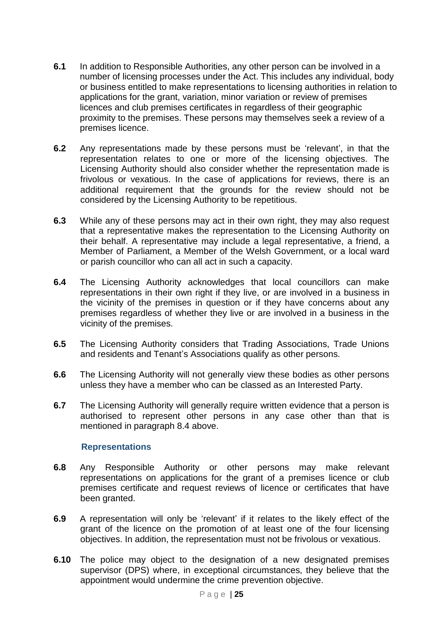- **6.1** In addition to Responsible Authorities, any other person can be involved in a number of licensing processes under the Act. This includes any individual, body or business entitled to make representations to licensing authorities in relation to applications for the grant, variation, minor variation or review of premises licences and club premises certificates in regardless of their geographic proximity to the premises. These persons may themselves seek a review of a premises licence.
- **6.2** Any representations made by these persons must be 'relevant', in that the representation relates to one or more of the licensing objectives. The Licensing Authority should also consider whether the representation made is frivolous or vexatious. In the case of applications for reviews, there is an additional requirement that the grounds for the review should not be considered by the Licensing Authority to be repetitious.
- **6.3** While any of these persons may act in their own right, they may also request that a representative makes the representation to the Licensing Authority on their behalf. A representative may include a legal representative, a friend, a Member of Parliament, a Member of the Welsh Government, or a local ward or parish councillor who can all act in such a capacity.
- **6.4** The Licensing Authority acknowledges that local councillors can make representations in their own right if they live, or are involved in a business in the vicinity of the premises in question or if they have concerns about any premises regardless of whether they live or are involved in a business in the vicinity of the premises.
- **6.5** The Licensing Authority considers that Trading Associations, Trade Unions and residents and Tenant's Associations qualify as other persons.
- **6.6** The Licensing Authority will not generally view these bodies as other persons unless they have a member who can be classed as an Interested Party.
- **6.7** The Licensing Authority will generally require written evidence that a person is authorised to represent other persons in any case other than that is mentioned in paragraph 8.4 above.

# **Representations**

- **6.8** Any Responsible Authority or other persons may make relevant representations on applications for the grant of a premises licence or club premises certificate and request reviews of licence or certificates that have been granted.
- **6.9** A representation will only be 'relevant' if it relates to the likely effect of the grant of the licence on the promotion of at least one of the four licensing objectives. In addition, the representation must not be frivolous or vexatious.
- **6.10** The police may object to the designation of a new designated premises supervisor (DPS) where, in exceptional circumstances, they believe that the appointment would undermine the crime prevention objective.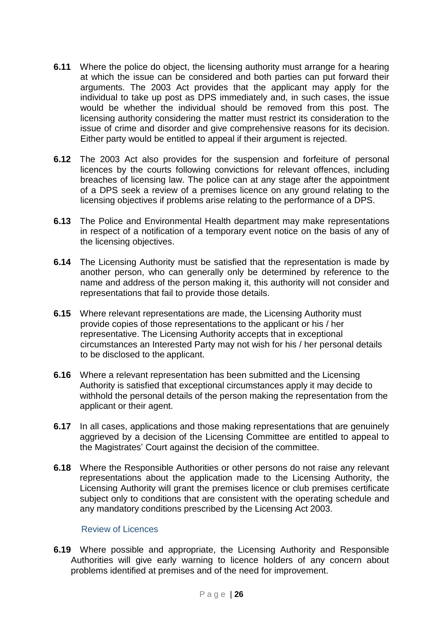- **6.11** Where the police do object, the licensing authority must arrange for a hearing at which the issue can be considered and both parties can put forward their arguments. The 2003 Act provides that the applicant may apply for the individual to take up post as DPS immediately and, in such cases, the issue would be whether the individual should be removed from this post. The licensing authority considering the matter must restrict its consideration to the issue of crime and disorder and give comprehensive reasons for its decision. Either party would be entitled to appeal if their argument is rejected.
- **6.12** The 2003 Act also provides for the suspension and forfeiture of personal licences by the courts following convictions for relevant offences, including breaches of licensing law. The police can at any stage after the appointment of a DPS seek a review of a premises licence on any ground relating to the licensing objectives if problems arise relating to the performance of a DPS.
- **6.13** The Police and Environmental Health department may make representations in respect of a notification of a temporary event notice on the basis of any of the licensing objectives.
- **6.14** The Licensing Authority must be satisfied that the representation is made by another person, who can generally only be determined by reference to the name and address of the person making it, this authority will not consider and representations that fail to provide those details.
- **6.15** Where relevant representations are made, the Licensing Authority must provide copies of those representations to the applicant or his / her representative. The Licensing Authority accepts that in exceptional circumstances an Interested Party may not wish for his / her personal details to be disclosed to the applicant.
- **6.16** Where a relevant representation has been submitted and the Licensing Authority is satisfied that exceptional circumstances apply it may decide to withhold the personal details of the person making the representation from the applicant or their agent.
- **6.17** In all cases, applications and those making representations that are genuinely aggrieved by a decision of the Licensing Committee are entitled to appeal to the Magistrates' Court against the decision of the committee.
- **6.18** Where the Responsible Authorities or other persons do not raise any relevant representations about the application made to the Licensing Authority, the Licensing Authority will grant the premises licence or club premises certificate subject only to conditions that are consistent with the operating schedule and any mandatory conditions prescribed by the Licensing Act 2003.

#### Review of Licences

**6.19** Where possible and appropriate, the Licensing Authority and Responsible Authorities will give early warning to licence holders of any concern about problems identified at premises and of the need for improvement.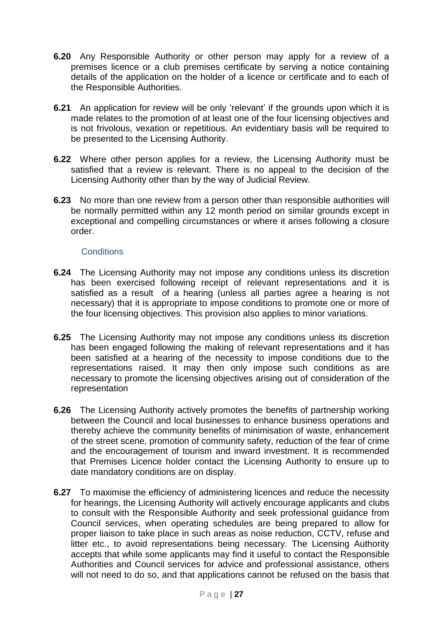- **6.20** Any Responsible Authority or other person may apply for a review of a premises licence or a club premises certificate by serving a notice containing details of the application on the holder of a licence or certificate and to each of the Responsible Authorities.
- **6.21** An application for review will be only 'relevant' if the grounds upon which it is made relates to the promotion of at least one of the four licensing objectives and is not frivolous, vexation or repetitious. An evidentiary basis will be required to be presented to the Licensing Authority.
- **6.22** Where other person applies for a review, the Licensing Authority must be satisfied that a review is relevant. There is no appeal to the decision of the Licensing Authority other than by the way of Judicial Review.
- **6.23** No more than one review from a person other than responsible authorities will be normally permitted within any 12 month period on similar grounds except in exceptional and compelling circumstances or where it arises following a closure order.

# **Conditions**

- **6.24** The Licensing Authority may not impose any conditions unless its discretion has been exercised following receipt of relevant representations and it is satisfied as a result of a hearing (unless all parties agree a hearing is not necessary) that it is appropriate to impose conditions to promote one or more of the four licensing objectives. This provision also applies to minor variations.
- **6.25** The Licensing Authority may not impose any conditions unless its discretion has been engaged following the making of relevant representations and it has been satisfied at a hearing of the necessity to impose conditions due to the representations raised. It may then only impose such conditions as are necessary to promote the licensing objectives arising out of consideration of the representation
- **6.26** The Licensing Authority actively promotes the benefits of partnership working between the Council and local businesses to enhance business operations and thereby achieve the community benefits of minimisation of waste, enhancement of the street scene, promotion of community safety, reduction of the fear of crime and the encouragement of tourism and inward investment. It is recommended that Premises Licence holder contact the Licensing Authority to ensure up to date mandatory conditions are on display.
- **6.27** To maximise the efficiency of administering licences and reduce the necessity for hearings, the Licensing Authority will actively encourage applicants and clubs to consult with the Responsible Authority and seek professional guidance from Council services, when operating schedules are being prepared to allow for proper liaison to take place in such areas as noise reduction, CCTV, refuse and litter etc., to avoid representations being necessary. The Licensing Authority accepts that while some applicants may find it useful to contact the Responsible Authorities and Council services for advice and professional assistance, others will not need to do so, and that applications cannot be refused on the basis that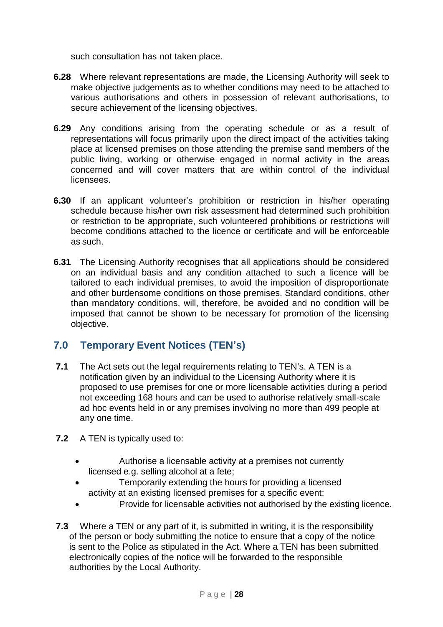such consultation has not taken place.

- **6.28** Where relevant representations are made, the Licensing Authority will seek to make objective judgements as to whether conditions may need to be attached to various authorisations and others in possession of relevant authorisations, to secure achievement of the licensing objectives.
- **6.29** Any conditions arising from the operating schedule or as a result of representations will focus primarily upon the direct impact of the activities taking place at licensed premises on those attending the premise sand members of the public living, working or otherwise engaged in normal activity in the areas concerned and will cover matters that are within control of the individual licensees.
- **6.30** If an applicant volunteer's prohibition or restriction in his/her operating schedule because his/her own risk assessment had determined such prohibition or restriction to be appropriate, such volunteered prohibitions or restrictions will become conditions attached to the licence or certificate and will be enforceable as such.
- **6.31** The Licensing Authority recognises that all applications should be considered on an individual basis and any condition attached to such a licence will be tailored to each individual premises, to avoid the imposition of disproportionate and other burdensome conditions on those premises. Standard conditions, other than mandatory conditions, will, therefore, be avoided and no condition will be imposed that cannot be shown to be necessary for promotion of the licensing objective.

# **7.0 Temporary Event Notices (TEN's)**

- **7.1** The Act sets out the legal requirements relating to TEN's. A TEN is a notification given by an individual to the Licensing Authority where it is proposed to use premises for one or more licensable activities during a period not exceeding 168 hours and can be used to authorise relatively small-scale ad hoc events held in or any premises involving no more than 499 people at any one time.
- **7.2** A TEN is typically used to:
	- Authorise a licensable activity at a premises not currently licensed e.g. selling alcohol at a fete;
	- Temporarily extending the hours for providing a licensed activity at an existing licensed premises for a specific event;
	- Provide for licensable activities not authorised by the existing licence.
- **7.3** Where a TEN or any part of it, is submitted in writing, it is the responsibility of the person or body submitting the notice to ensure that a copy of the notice is sent to the Police as stipulated in the Act. Where a TEN has been submitted electronically copies of the notice will be forwarded to the responsible authorities by the Local Authority.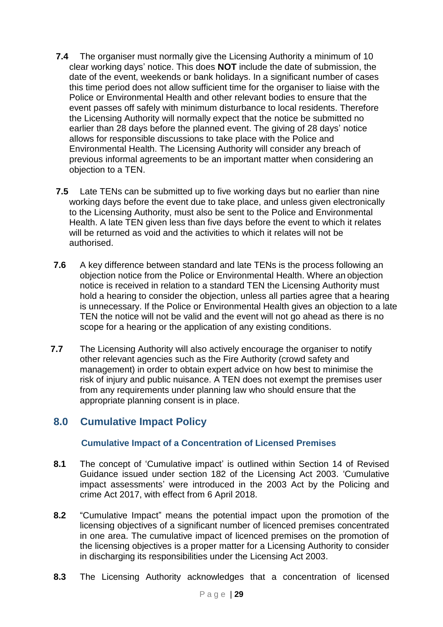- **7.4** The organiser must normally give the Licensing Authority a minimum of 10 clear working days' notice. This does **NOT** include the date of submission, the date of the event, weekends or bank holidays. In a significant number of cases this time period does not allow sufficient time for the organiser to liaise with the Police or Environmental Health and other relevant bodies to ensure that the event passes off safely with minimum disturbance to local residents. Therefore the Licensing Authority will normally expect that the notice be submitted no earlier than 28 days before the planned event. The giving of 28 days' notice allows for responsible discussions to take place with the Police and Environmental Health. The Licensing Authority will consider any breach of previous informal agreements to be an important matter when considering an objection to a TEN.
- **7.5** Late TENs can be submitted up to five working days but no earlier than nine working days before the event due to take place, and unless given electronically to the Licensing Authority, must also be sent to the Police and Environmental Health. A late TEN given less than five days before the event to which it relates will be returned as void and the activities to which it relates will not be authorised.
- **7.6** A key difference between standard and late TENs is the process following an objection notice from the Police or Environmental Health. Where an objection notice is received in relation to a standard TEN the Licensing Authority must hold a hearing to consider the objection, unless all parties agree that a hearing is unnecessary. If the Police or Environmental Health gives an objection to a late TEN the notice will not be valid and the event will not go ahead as there is no scope for a hearing or the application of any existing conditions.
- **7.7** The Licensing Authority will also actively encourage the organiser to notify other relevant agencies such as the Fire Authority (crowd safety and management) in order to obtain expert advice on how best to minimise the risk of injury and public nuisance. A TEN does not exempt the premises user from any requirements under planning law who should ensure that the appropriate planning consent is in place.

# **8.0 Cumulative Impact Policy**

# **Cumulative Impact of a Concentration of Licensed Premises**

- **8.1** The concept of 'Cumulative impact' is outlined within Section 14 of Revised Guidance issued under section 182 of the Licensing Act 2003. 'Cumulative impact assessments' were introduced in the 2003 Act by the Policing and crime Act 2017, with effect from 6 April 2018.
- **8.2** "Cumulative Impact" means the potential impact upon the promotion of the licensing objectives of a significant number of licenced premises concentrated in one area. The cumulative impact of licenced premises on the promotion of the licensing objectives is a proper matter for a Licensing Authority to consider in discharging its responsibilities under the Licensing Act 2003.
- **8.3** The Licensing Authority acknowledges that a concentration of licensed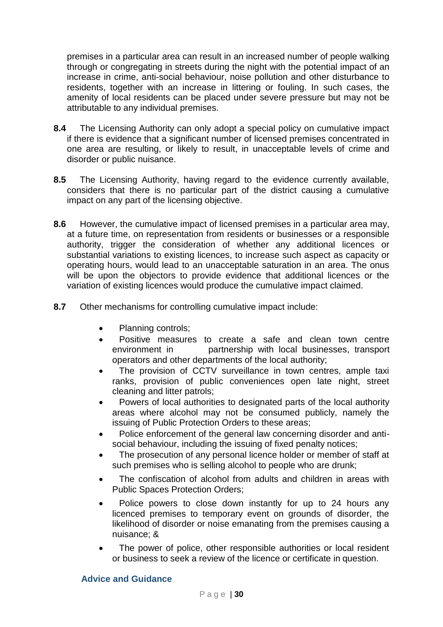premises in a particular area can result in an increased number of people walking through or congregating in streets during the night with the potential impact of an increase in crime, anti-social behaviour, noise pollution and other disturbance to residents, together with an increase in littering or fouling. In such cases, the amenity of local residents can be placed under severe pressure but may not be attributable to any individual premises.

- **8.4** The Licensing Authority can only adopt a special policy on cumulative impact if there is evidence that a significant number of licensed premises concentrated in one area are resulting, or likely to result, in unacceptable levels of crime and disorder or public nuisance.
- **8.5** The Licensing Authority, having regard to the evidence currently available, considers that there is no particular part of the district causing a cumulative impact on any part of the licensing objective.
- **8.6** However, the cumulative impact of licensed premises in a particular area may, at a future time, on representation from residents or businesses or a responsible authority, trigger the consideration of whether any additional licences or substantial variations to existing licences, to increase such aspect as capacity or operating hours, would lead to an unacceptable saturation in an area. The onus will be upon the objectors to provide evidence that additional licences or the variation of existing licences would produce the cumulative impact claimed.
- **8.7** Other mechanisms for controlling cumulative impact include:
	- Planning controls;
	- Positive measures to create a safe and clean town centre environment in partnership with local businesses, transport operators and other departments of the local authority;
	- The provision of CCTV surveillance in town centres, ample taxi ranks, provision of public conveniences open late night, street cleaning and litter patrols;
	- Powers of local authorities to designated parts of the local authority areas where alcohol may not be consumed publicly, namely the issuing of Public Protection Orders to these areas;
	- Police enforcement of the general law concerning disorder and antisocial behaviour, including the issuing of fixed penalty notices;
	- The prosecution of any personal licence holder or member of staff at such premises who is selling alcohol to people who are drunk;
	- The confiscation of alcohol from adults and children in areas with Public Spaces Protection Orders;
	- Police powers to close down instantly for up to 24 hours any licenced premises to temporary event on grounds of disorder, the likelihood of disorder or noise emanating from the premises causing a nuisance; &
	- The power of police, other responsible authorities or local resident or business to seek a review of the licence or certificate in question.

#### **Advice and Guidance**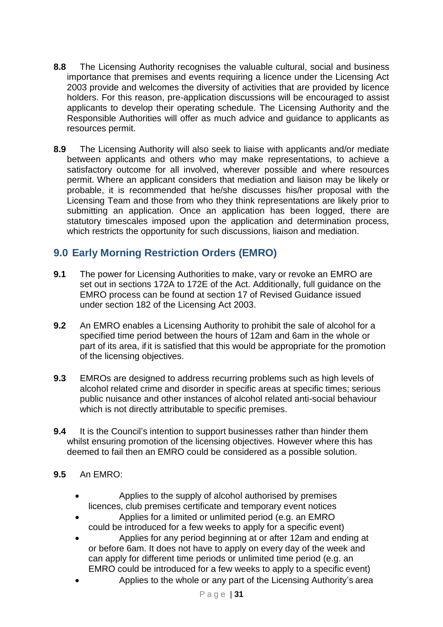- **8.8** The Licensing Authority recognises the valuable cultural, social and business importance that premises and events requiring a licence under the Licensing Act 2003 provide and welcomes the diversity of activities that are provided by licence holders. For this reason, pre-application discussions will be encouraged to assist applicants to develop their operating schedule. The Licensing Authority and the Responsible Authorities will offer as much advice and guidance to applicants as resources permit.
- **8.9** The Licensing Authority will also seek to liaise with applicants and/or mediate between applicants and others who may make representations, to achieve a satisfactory outcome for all involved, wherever possible and where resources permit. Where an applicant considers that mediation and liaison may be likely or probable, it is recommended that he/she discusses his/her proposal with the Licensing Team and those from who they think representations are likely prior to submitting an application. Once an application has been logged, there are statutory timescales imposed upon the application and determination process, which restricts the opportunity for such discussions, liaison and mediation.

# **9.0 Early Morning Restriction Orders (EMRO)**

- **9.1** The power for Licensing Authorities to make, vary or revoke an EMRO are set out in sections 172A to 172E of the Act. Additionally, full guidance on the EMRO process can be found at section 17 of Revised Guidance issued under section 182 of the Licensing Act 2003.
- **9.2** An EMRO enables a Licensing Authority to prohibit the sale of alcohol for a specified time period between the hours of 12am and 6am in the whole or part of its area, if it is satisfied that this would be appropriate for the promotion of the licensing objectives.
- **9.3** EMROs are designed to address recurring problems such as high levels of alcohol related crime and disorder in specific areas at specific times; serious public nuisance and other instances of alcohol related anti-social behaviour which is not directly attributable to specific premises.
- **9.4** It is the Council's intention to support businesses rather than hinder them whilst ensuring promotion of the licensing objectives. However where this has deemed to fail then an EMRO could be considered as a possible solution.

# **9.5** An EMRO:

- Applies to the supply of alcohol authorised by premises licences, club premises certificate and temporary event notices
- Applies for a limited or unlimited period (e.g. an EMRO could be introduced for a few weeks to apply for a specific event)
- Applies for any period beginning at or after 12am and ending at or before 6am. It does not have to apply on every day of the week and can apply for different time periods or unlimited time period (e.g. an EMRO could be introduced for a few weeks to apply to a specific event)
- Applies to the whole or any part of the Licensing Authority's area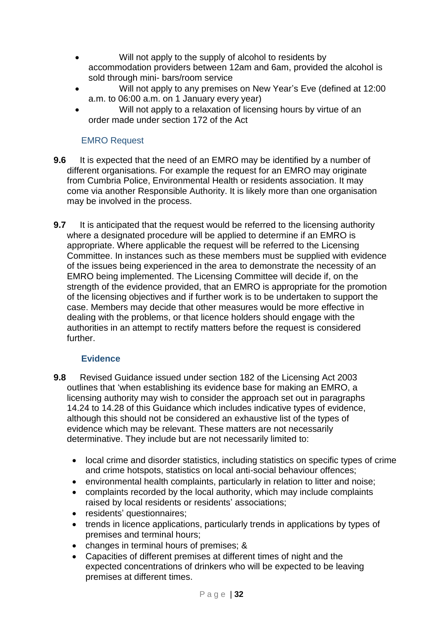- Will not apply to the supply of alcohol to residents by accommodation providers between 12am and 6am, provided the alcohol is sold through mini- bars/room service
- Will not apply to any premises on New Year's Eve (defined at 12:00 a.m. to 06:00 a.m. on 1 January every year)
- Will not apply to a relaxation of licensing hours by virtue of an order made under section 172 of the Act

# EMRO Request

- **9.6** It is expected that the need of an EMRO may be identified by a number of different organisations. For example the request for an EMRO may originate from Cumbria Police, Environmental Health or residents association. It may come via another Responsible Authority. It is likely more than one organisation may be involved in the process.
- **9.7** It is anticipated that the request would be referred to the licensing authority where a designated procedure will be applied to determine if an EMRO is appropriate. Where applicable the request will be referred to the Licensing Committee. In instances such as these members must be supplied with evidence of the issues being experienced in the area to demonstrate the necessity of an EMRO being implemented. The Licensing Committee will decide if, on the strength of the evidence provided, that an EMRO is appropriate for the promotion of the licensing objectives and if further work is to be undertaken to support the case. Members may decide that other measures would be more effective in dealing with the problems, or that licence holders should engage with the authorities in an attempt to rectify matters before the request is considered further.

# **Evidence**

- **9.8** Revised Guidance issued under section 182 of the Licensing Act 2003 outlines that 'when establishing its evidence base for making an EMRO, a licensing authority may wish to consider the approach set out in paragraphs 14.24 to 14.28 of this Guidance which includes indicative types of evidence, although this should not be considered an exhaustive list of the types of evidence which may be relevant. These matters are not necessarily determinative. They include but are not necessarily limited to:
	- local crime and disorder statistics, including statistics on specific types of crime and crime hotspots, statistics on local anti-social behaviour offences;
	- environmental health complaints, particularly in relation to litter and noise;
	- complaints recorded by the local authority, which may include complaints raised by local residents or residents' associations;
	- residents' questionnaires;
	- trends in licence applications, particularly trends in applications by types of premises and terminal hours;
	- changes in terminal hours of premises; &
	- Capacities of different premises at different times of night and the expected concentrations of drinkers who will be expected to be leaving premises at different times.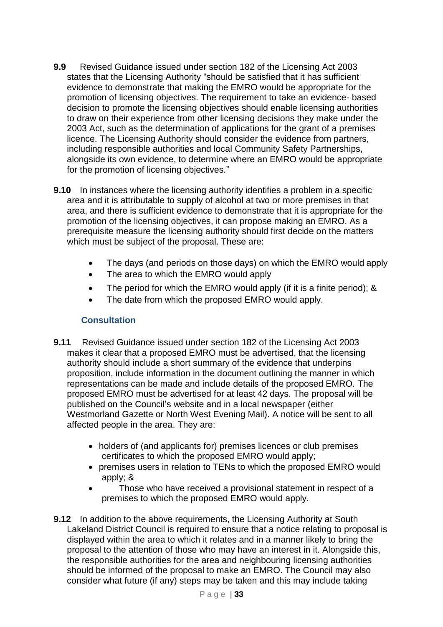- **9.9** Revised Guidance issued under section 182 of the Licensing Act 2003 states that the Licensing Authority "should be satisfied that it has sufficient evidence to demonstrate that making the EMRO would be appropriate for the promotion of licensing objectives. The requirement to take an evidence- based decision to promote the licensing objectives should enable licensing authorities to draw on their experience from other licensing decisions they make under the 2003 Act, such as the determination of applications for the grant of a premises licence. The Licensing Authority should consider the evidence from partners, including responsible authorities and local Community Safety Partnerships, alongside its own evidence, to determine where an EMRO would be appropriate for the promotion of licensing objectives."
- **9.10** In instances where the licensing authority identifies a problem in a specific area and it is attributable to supply of alcohol at two or more premises in that area, and there is sufficient evidence to demonstrate that it is appropriate for the promotion of the licensing objectives, it can propose making an EMRO. As a prerequisite measure the licensing authority should first decide on the matters which must be subject of the proposal. These are:
	- The days (and periods on those days) on which the EMRO would apply
	- The area to which the EMRO would apply
	- The period for which the EMRO would apply (if it is a finite period); &
	- The date from which the proposed EMRO would apply.

# **Consultation**

- **9.11** Revised Guidance issued under section 182 of the Licensing Act 2003 makes it clear that a proposed EMRO must be advertised, that the licensing authority should include a short summary of the evidence that underpins proposition, include information in the document outlining the manner in which representations can be made and include details of the proposed EMRO. The proposed EMRO must be advertised for at least 42 days. The proposal will be published on the Council's website and in a local newspaper (either Westmorland Gazette or North West Evening Mail). A notice will be sent to all affected people in the area. They are:
	- holders of (and applicants for) premises licences or club premises certificates to which the proposed EMRO would apply;
	- premises users in relation to TENs to which the proposed EMRO would apply; &
	- Those who have received a provisional statement in respect of a premises to which the proposed EMRO would apply.
- **9.12** In addition to the above requirements, the Licensing Authority at South Lakeland District Council is required to ensure that a notice relating to proposal is displayed within the area to which it relates and in a manner likely to bring the proposal to the attention of those who may have an interest in it. Alongside this, the responsible authorities for the area and neighbouring licensing authorities should be informed of the proposal to make an EMRO. The Council may also consider what future (if any) steps may be taken and this may include taking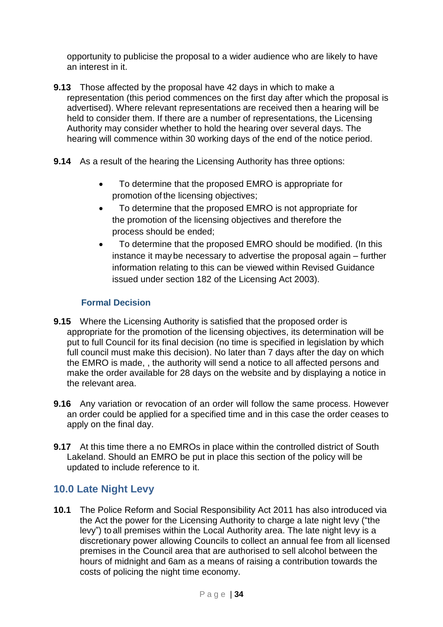opportunity to publicise the proposal to a wider audience who are likely to have an interest in it.

- **9.13** Those affected by the proposal have 42 days in which to make a representation (this period commences on the first day after which the proposal is advertised). Where relevant representations are received then a hearing will be held to consider them. If there are a number of representations, the Licensing Authority may consider whether to hold the hearing over several days. The hearing will commence within 30 working days of the end of the notice period.
- **9.14** As a result of the hearing the Licensing Authority has three options:
	- To determine that the proposed EMRO is appropriate for promotion of the licensing objectives;
	- To determine that the proposed EMRO is not appropriate for the promotion of the licensing objectives and therefore the process should be ended;
	- To determine that the proposed EMRO should be modified. (In this instance it maybe necessary to advertise the proposal again – further information relating to this can be viewed within Revised Guidance issued under section 182 of the Licensing Act 2003).

# **Formal Decision**

- **9.15** Where the Licensing Authority is satisfied that the proposed order is appropriate for the promotion of the licensing objectives, its determination will be put to full Council for its final decision (no time is specified in legislation by which full council must make this decision). No later than 7 days after the day on which the EMRO is made, , the authority will send a notice to all affected persons and make the order available for 28 days on the website and by displaying a notice in the relevant area.
- **9.16** Any variation or revocation of an order will follow the same process. However an order could be applied for a specified time and in this case the order ceases to apply on the final day.
- **9.17** At this time there a no EMROs in place within the controlled district of South Lakeland. Should an EMRO be put in place this section of the policy will be updated to include reference to it.

# **10.0 Late Night Levy**

**10.1** The Police Reform and Social Responsibility Act 2011 has also introduced via the Act the power for the Licensing Authority to charge a late night levy ("the levy") to all premises within the Local Authority area. The late night levy is a discretionary power allowing Councils to collect an annual fee from all licensed premises in the Council area that are authorised to sell alcohol between the hours of midnight and 6am as a means of raising a contribution towards the costs of policing the night time economy.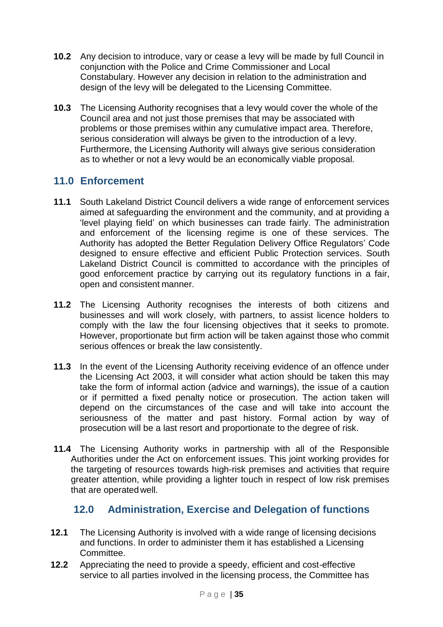- **10.2** Any decision to introduce, vary or cease a levy will be made by full Council in conjunction with the Police and Crime Commissioner and Local Constabulary. However any decision in relation to the administration and design of the levy will be delegated to the Licensing Committee.
- **10.3** The Licensing Authority recognises that a levy would cover the whole of the Council area and not just those premises that may be associated with problems or those premises within any cumulative impact area. Therefore, serious consideration will always be given to the introduction of a levy. Furthermore, the Licensing Authority will always give serious consideration as to whether or not a levy would be an economically viable proposal.

# **11.0 Enforcement**

- **11.1** South Lakeland District Council delivers a wide range of enforcement services aimed at safeguarding the environment and the community, and at providing a 'level playing field' on which businesses can trade fairly. The administration and enforcement of the licensing regime is one of these services. The Authority has adopted the Better Regulation Delivery Office Regulators' Code designed to ensure effective and efficient Public Protection services. South Lakeland District Council is committed to accordance with the principles of good enforcement practice by carrying out its regulatory functions in a fair, open and consistent manner.
- **11.2** The Licensing Authority recognises the interests of both citizens and businesses and will work closely, with partners, to assist licence holders to comply with the law the four licensing objectives that it seeks to promote. However, proportionate but firm action will be taken against those who commit serious offences or break the law consistently.
- **11.3** In the event of the Licensing Authority receiving evidence of an offence under the Licensing Act 2003, it will consider what action should be taken this may take the form of informal action (advice and warnings), the issue of a caution or if permitted a fixed penalty notice or prosecution. The action taken will depend on the circumstances of the case and will take into account the seriousness of the matter and past history. Formal action by way of prosecution will be a last resort and proportionate to the degree of risk.
- **11.4** The Licensing Authority works in partnership with all of the Responsible Authorities under the Act on enforcement issues. This joint working provides for the targeting of resources towards high-risk premises and activities that require greater attention, while providing a lighter touch in respect of low risk premises that are operatedwell.

# **12.0 Administration, Exercise and Delegation of functions**

- **12.1** The Licensing Authority is involved with a wide range of licensing decisions and functions. In order to administer them it has established a Licensing Committee.
- **12.2** Appreciating the need to provide a speedy, efficient and cost-effective service to all parties involved in the licensing process, the Committee has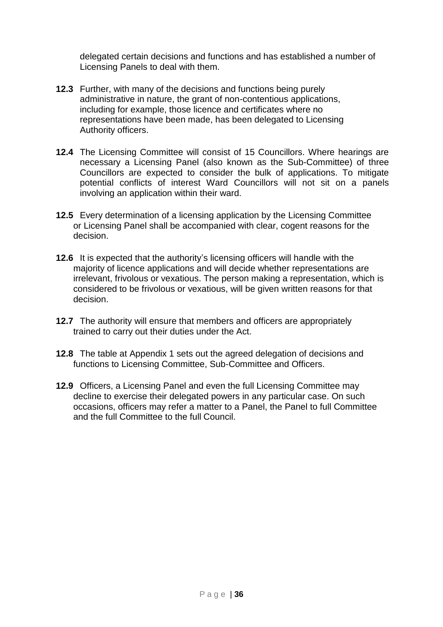delegated certain decisions and functions and has established a number of Licensing Panels to deal with them.

- **12.3** Further, with many of the decisions and functions being purely administrative in nature, the grant of non-contentious applications, including for example, those licence and certificates where no representations have been made, has been delegated to Licensing Authority officers.
- **12.4** The Licensing Committee will consist of 15 Councillors. Where hearings are necessary a Licensing Panel (also known as the Sub-Committee) of three Councillors are expected to consider the bulk of applications. To mitigate potential conflicts of interest Ward Councillors will not sit on a panels involving an application within their ward.
- **12.5** Every determination of a licensing application by the Licensing Committee or Licensing Panel shall be accompanied with clear, cogent reasons for the decision.
- **12.6** It is expected that the authority's licensing officers will handle with the majority of licence applications and will decide whether representations are irrelevant, frivolous or vexatious. The person making a representation, which is considered to be frivolous or vexatious, will be given written reasons for that decision.
- **12.7** The authority will ensure that members and officers are appropriately trained to carry out their duties under the Act.
- **12.8** The table at Appendix 1 sets out the agreed delegation of decisions and functions to Licensing Committee, Sub-Committee and Officers.
- **12.9** Officers, a Licensing Panel and even the full Licensing Committee may decline to exercise their delegated powers in any particular case. On such occasions, officers may refer a matter to a Panel, the Panel to full Committee and the full Committee to the full Council.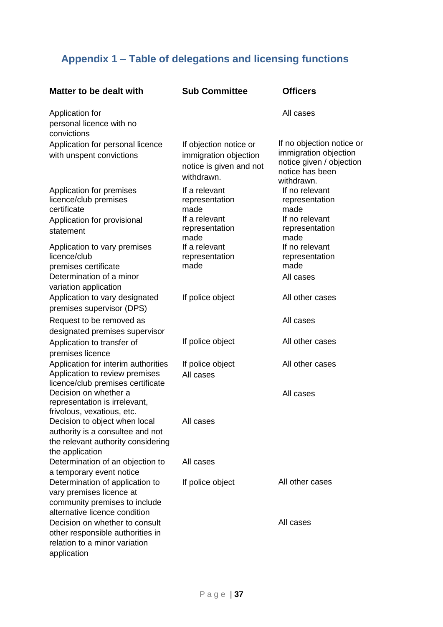# **Appendix 1 – Table of delegations and licensing functions**

| Matter to be dealt with                                                                                                       | <b>Sub Committee</b>                                                                     | <b>Officers</b>                                                                                                 |
|-------------------------------------------------------------------------------------------------------------------------------|------------------------------------------------------------------------------------------|-----------------------------------------------------------------------------------------------------------------|
| Application for<br>personal licence with no<br>convictions                                                                    |                                                                                          | All cases                                                                                                       |
| Application for personal licence<br>with unspent convictions                                                                  | If objection notice or<br>immigration objection<br>notice is given and not<br>withdrawn. | If no objection notice or<br>immigration objection<br>notice given / objection<br>notice has been<br>withdrawn. |
| Application for premises<br>licence/club premises<br>certificate<br>Application for provisional<br>statement                  | If a relevant<br>representation<br>made<br>If a relevant<br>representation<br>made       | If no relevant<br>representation<br>made<br>If no relevant<br>representation<br>made                            |
| Application to vary premises<br>licence/club<br>premises certificate<br>Determination of a minor<br>variation application     | If a relevant<br>representation<br>made                                                  | If no relevant<br>representation<br>made<br>All cases                                                           |
| Application to vary designated<br>premises supervisor (DPS)                                                                   | If police object                                                                         | All other cases                                                                                                 |
| Request to be removed as<br>designated premises supervisor                                                                    |                                                                                          | All cases                                                                                                       |
| Application to transfer of<br>premises licence                                                                                | If police object                                                                         | All other cases                                                                                                 |
| Application for interim authorities<br>Application to review premises<br>licence/club premises certificate                    | If police object<br>All cases                                                            | All other cases                                                                                                 |
| Decision on whether a<br>representation is irrelevant,<br>frivolous, vexatious, etc.                                          |                                                                                          | All cases                                                                                                       |
| Decision to object when local<br>authority is a consultee and not<br>the relevant authority considering<br>the application    | All cases                                                                                |                                                                                                                 |
| Determination of an objection to<br>a temporary event notice                                                                  | All cases                                                                                |                                                                                                                 |
| Determination of application to<br>vary premises licence at<br>community premises to include<br>alternative licence condition | If police object                                                                         | All other cases                                                                                                 |
| Decision on whether to consult<br>other responsible authorities in<br>relation to a minor variation<br>application            |                                                                                          | All cases                                                                                                       |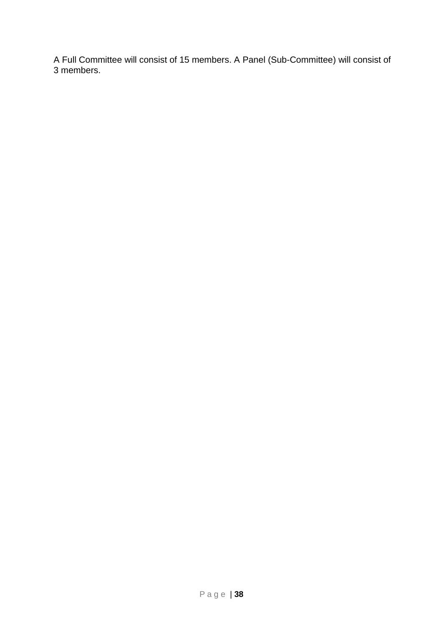A Full Committee will consist of 15 members. A Panel (Sub-Committee) will consist of 3 members.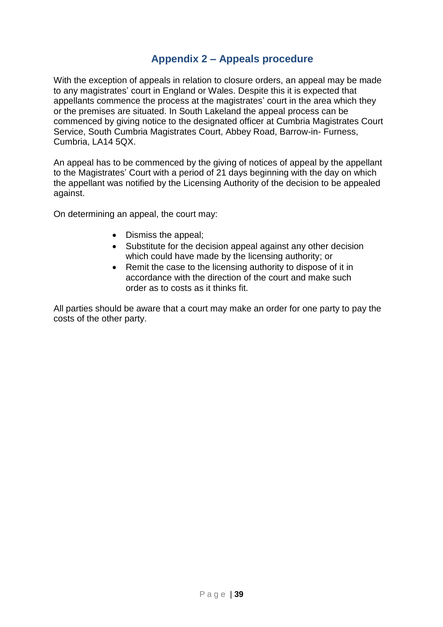# **Appendix 2 – Appeals procedure**

With the exception of appeals in relation to closure orders, an appeal may be made to any magistrates' court in England or Wales. Despite this it is expected that appellants commence the process at the magistrates' court in the area which they or the premises are situated. In South Lakeland the appeal process can be commenced by giving notice to the designated officer at Cumbria Magistrates Court Service, South Cumbria Magistrates Court, Abbey Road, Barrow-in- Furness, Cumbria, LA14 5QX.

An appeal has to be commenced by the giving of notices of appeal by the appellant to the Magistrates' Court with a period of 21 days beginning with the day on which the appellant was notified by the Licensing Authority of the decision to be appealed against.

On determining an appeal, the court may:

- Dismiss the appeal;
- Substitute for the decision appeal against any other decision which could have made by the licensing authority; or
- Remit the case to the licensing authority to dispose of it in accordance with the direction of the court and make such order as to costs as it thinks fit.

All parties should be aware that a court may make an order for one party to pay the costs of the other party.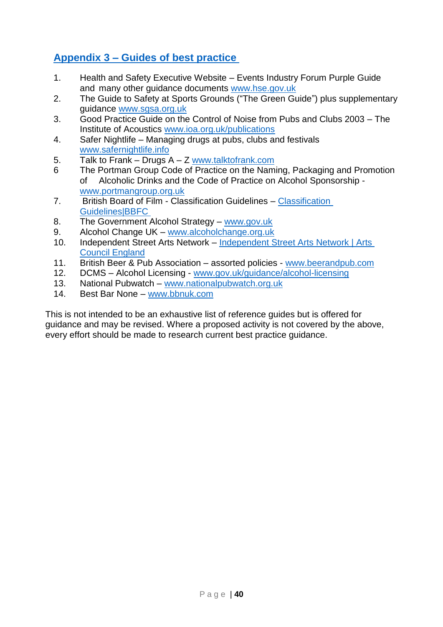# <span id="page-39-0"></span>**Appendix 3 – [Guides of best practice](#page-39-0)**

- 1. Health and Safety Executive Website Events Industry Forum Purple Guide and many other guidance documents [www.hse.gov.uk](http://www.hse.gov.uk/)
- 2. The Guide to Safety at Sports Grounds ("The Green Guide") plus supplementary guidance [www.sgsa.org.uk](http://www.sgsa.org.uk/)
- 3. Good Practice Guide on the Control of Noise from Pubs and Clubs 2003 The Institute of Acoustics [www.ioa.org.uk/publications](http://www.ioa.org.uk/publications)
- 4. Safer Nightlife Managing drugs at pubs, clubs and festivals [www.safernightlife.info](http://www.safernightlife.info/)
- 5. Talk to Frank Drugs A Z [www.talktofrank.com](http://www.talktofrank.com/)
- 6 The Portman Group Code of Practice on the Naming, Packaging and Promotion of Alcoholic Drinks and the Code of Practice on Alcohol Sponsorship [www.portmangroup.org.uk](http://www.portmangroup.org.uk/)
- 7. British Board of Film Classification Guidelines [Classification](https://www.bbfc.co.uk/about-classification/classification-guidelines)  [Guidelines|BBFC](https://www.bbfc.co.uk/about-classification/classification-guidelines)
- 8. The Government Alcohol Strategy [www.gov.uk](http://www.gov.uk/)
- 9. Alcohol Change UK [www.alcoholchange.org.uk](http://www.alcoholchange.org.uk/)
- 10. Independent Street Arts Network [Independent Street Arts Network | Arts](https://www.artscouncil.org.uk/art-leadership/independent-street-arts-network)  [Council England](https://www.artscouncil.org.uk/art-leadership/independent-street-arts-network)
- 11. British Beer & Pub Association assorted policies [www.beerandpub.com](http://www.beerandpub.com/)
- 12. DCMS Alcohol Licensing [www.gov.uk/guidance/alcohol-licensing](http://www.gov.uk/guidance/alcohol-licensing)
- 13. National Pubwatch [www.nationalpubwatch.org.uk](http://www.nationalpubwatch.org.uk/)
- 14. Best Bar None [www.bbnuk.com](http://www.bbnuk.com/)

This is not intended to be an exhaustive list of reference guides but is offered for guidance and may be revised. Where a proposed activity is not covered by the above, every effort should be made to research current best practice guidance.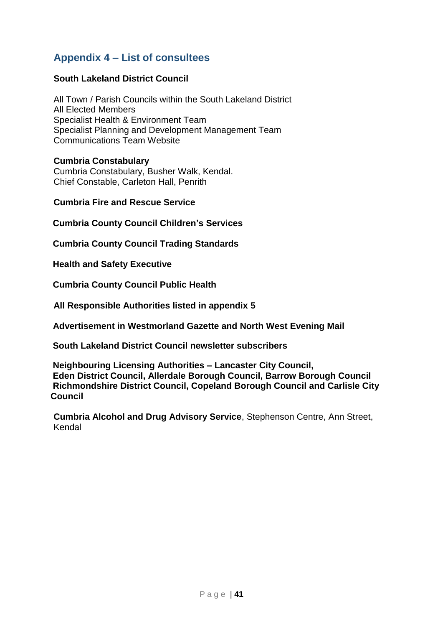# **Appendix 4 – List of consultees**

# **South Lakeland District Council**

All Town / Parish Councils within the South Lakeland District All Elected Members Specialist Health & Environment Team Specialist Planning and Development Management Team Communications Team Website

#### **Cumbria Constabulary**

Cumbria Constabulary, Busher Walk, Kendal. Chief Constable, Carleton Hall, Penrith

#### **Cumbria Fire and Rescue Service**

 **Cumbria County Council Children's Services** 

 **Cumbria County Council Trading Standards** 

 **Health and Safety Executive** 

 **Cumbria County Council Public Health** 

**All Responsible Authorities listed in appendix 5**

 **Advertisement in Westmorland Gazette and North West Evening Mail**

 **South Lakeland District Council newsletter subscribers**

 **Neighbouring Licensing Authorities – Lancaster City Council, Eden District Council, Allerdale Borough Council, Barrow Borough Council Richmondshire District Council, Copeland Borough Council and Carlisle City Council**

**Cumbria Alcohol and Drug Advisory Service**, Stephenson Centre, Ann Street, Kendal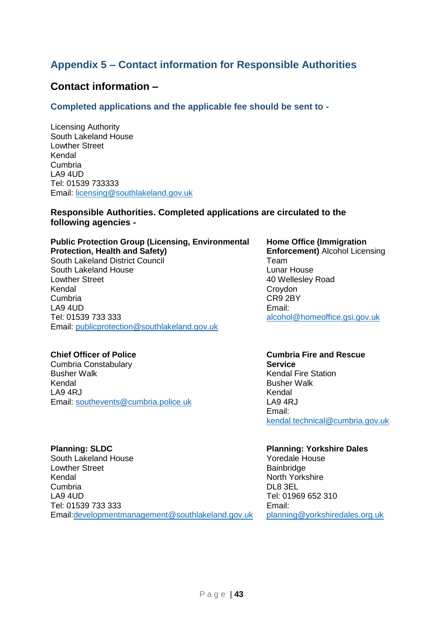# **Appendix 5 – Contact information for Responsible Authorities**

# **Contact information –**

**Completed applications and the applicable fee should be sent to -**

Licensing Authority South Lakeland House Lowther Street Kendal Cumbria LA9 4UD Tel: 01539 733333 Email: [licensing@southlakeland.gov.uk](mailto:licensing@southlakeland.gov.uk)

#### **Responsible Authorities. Completed applications are circulated to the following agencies -**

# **Public Protection Group (Licensing, Environmental Protection, Health and Safety)**

South Lakeland District Council South Lakeland House Lowther Street Kendal Cumbria LA9 4UD Tel: 01539 733 333 Email: [publicprotection@southlakeland.gov.uk](mailto:publicprotection@southlakeland.gov.uk)

#### **Chief Officer of Police**

Cumbria Constabulary Busher Walk Kendal LA9 4RJ Email: [southevents@cumbria.police.uk](mailto:southevents@cumbria.police.uk)

#### **Planning: SLDC**

South Lakeland House Lowther Street Kendal Cumbria LA9 4UD Tel: 01539 733 333 Email[:developmentmanagement@southlakeland.gov.uk](mailto:developmentmanagement@southlakeland.gov.uk)

#### **Home Office (Immigration Enforcement)** Alcohol Licensing Team Lunar House 40 Wellesley Road Croydon CR9 2BY Email: [alcohol@homeoffice.gsi.gov.uk](mailto:alcohol@homeoffice.gsi.gov.uk)

#### **Cumbria Fire and Rescue Service** Kendal Fire Station Busher Walk Kendal LA9 4RJ Email: [kendal.technical@cumbria.gov.uk](mailto:kendal.technical@cumbria.gov.uk)

# **Planning: Yorkshire Dales**

Yoredale House Bainbridge North Yorkshire DL8 3EL Tel: 01969 652 310 Email: [planning@yorkshiredales.org.uk](mailto:planning@yorkshiredales.org.uk)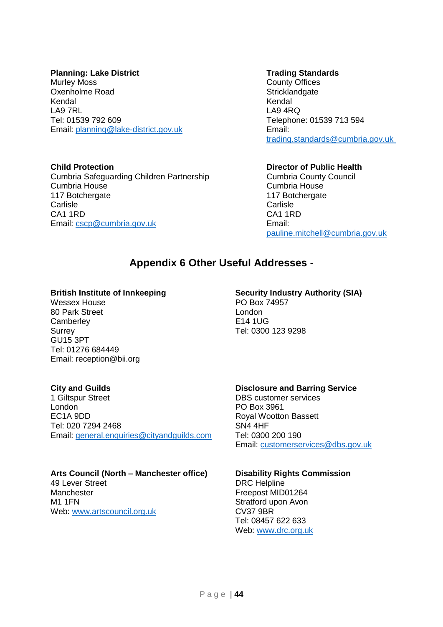#### **Planning: Lake District**

Murley Moss Oxenholme Road Kendal LA9 7RL Tel: 01539 792 609 Email: [planning@lake-district.gov.uk](mailto:planning@lake-district.gov.uk)

#### **Child Protection**

Cumbria Safeguarding Children Partnership Cumbria House 117 Botchergate **Carlisle** CA1 1RD Email: [cscp@cumbria.gov.uk](mailto:cscp@cumbria.gov.uk)

#### **Trading Standards**

County Offices **Stricklandgate** Kendal LA9 4RQ Telephone: 01539 713 594 Email: [trading.standards@cumbria.gov.uk](mailto:trading.standards@cumbria.gov.uk) 

#### **Director of Public Health**

Cumbria County Council Cumbria House 117 Botchergate **Carlisle** CA1 1RD Email: [pauline.mitchell@cumbria.gov.uk](mailto:pauline.mitchell@cumbria.gov.uk)

# **Appendix 6 Other Useful Addresses -**

#### **British Institute of Innkeeping**

Wessex House 80 Park Street **Camberley** Surrey GU15 3PT Tel: 01276 684449 Email: reception@bii.org

#### **City and Guilds**

1 Giltspur Street London EC1A 9DD Tel: 020 7294 2468 Email: [general.enquiries@cityandguilds.com](mailto:general.enquiries@cityandguildsgroup.com)

# **Arts Council (North – Manchester office)**

49 Lever Street Manchester M1 1FN Web: [www.artscouncil.org.uk](http://www.artscouncil.org.uk/)

# **Security Industry Authority (SIA)**

PO Box 74957 London E14 1UG Tel: 0300 123 9298

#### **Disclosure and Barring Service**

DBS customer services PO Box 3961 Royal Wootton Bassett SN4 4HF Tel: 0300 200 190 Email: [customerservices@dbs.gov.uk](mailto:customerservices@dbs.gov.uk)

#### **Disability Rights Commission**

DRC Helpline Freepost MID01264 Stratford upon Avon CV37 9BR Tel: 08457 622 633 Web: [www.drc.org.uk](http://www.drc.org.uk/)